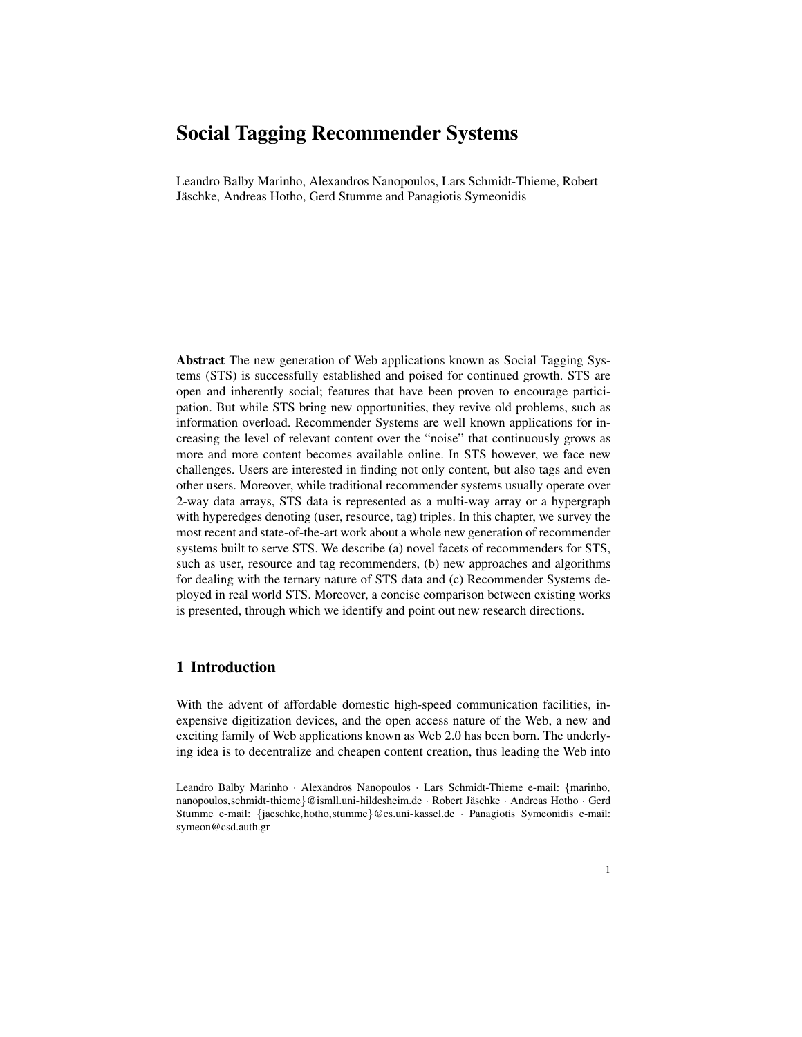Leandro Balby Marinho, Alexandros Nanopoulos, Lars Schmidt-Thieme, Robert Jäschke, Andreas Hotho, Gerd Stumme and Panagiotis Symeonidis

Abstract The new generation of Web applications known as Social Tagging Systems (STS) is successfully established and poised for continued growth. STS are open and inherently social; features that have been proven to encourage participation. But while STS bring new opportunities, they revive old problems, such as information overload. Recommender Systems are well known applications for increasing the level of relevant content over the "noise" that continuously grows as more and more content becomes available online. In STS however, we face new challenges. Users are interested in finding not only content, but also tags and even other users. Moreover, while traditional recommender systems usually operate over 2-way data arrays, STS data is represented as a multi-way array or a hypergraph with hyperedges denoting (user, resource, tag) triples. In this chapter, we survey the most recent and state-of-the-art work about a whole new generation of recommender systems built to serve STS. We describe (a) novel facets of recommenders for STS, such as user, resource and tag recommenders, (b) new approaches and algorithms for dealing with the ternary nature of STS data and (c) Recommender Systems deployed in real world STS. Moreover, a concise comparison between existing works is presented, through which we identify and point out new research directions.

## 1 Introduction

With the advent of affordable domestic high-speed communication facilities, inexpensive digitization devices, and the open access nature of the Web, a new and exciting family of Web applications known as Web 2.0 has been born. The underlying idea is to decentralize and cheapen content creation, thus leading the Web into

Leandro Balby Marinho · Alexandros Nanopoulos · Lars Schmidt-Thieme e-mail: {marinho, nanopoulos, schmidt-thieme}@ismll.uni-hildesheim.de · Robert Jäschke · Andreas Hotho · Gerd Stumme e-mail: {jaeschke,hotho,stumme}@cs.uni-kassel.de · Panagiotis Symeonidis e-mail: symeon@csd.auth.gr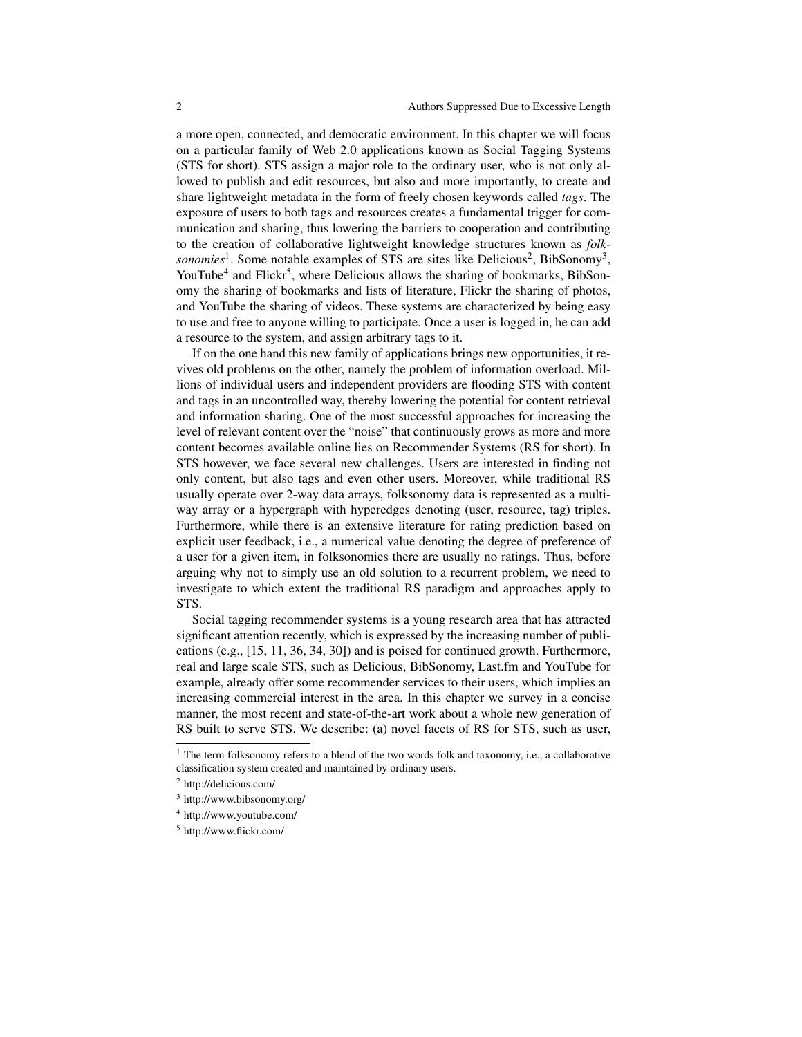a more open, connected, and democratic environment. In this chapter we will focus on a particular family of Web 2.0 applications known as Social Tagging Systems (STS for short). STS assign a major role to the ordinary user, who is not only allowed to publish and edit resources, but also and more importantly, to create and share lightweight metadata in the form of freely chosen keywords called *tags*. The exposure of users to both tags and resources creates a fundamental trigger for communication and sharing, thus lowering the barriers to cooperation and contributing to the creation of collaborative lightweight knowledge structures known as *folk*sonomies<sup>1</sup>. Some notable examples of STS are sites like Delicious<sup>2</sup>, BibSonomy<sup>3</sup>, YouTube<sup>4</sup> and Flickr<sup>5</sup>, where Delicious allows the sharing of bookmarks, BibSonomy the sharing of bookmarks and lists of literature, Flickr the sharing of photos, and YouTube the sharing of videos. These systems are characterized by being easy to use and free to anyone willing to participate. Once a user is logged in, he can add a resource to the system, and assign arbitrary tags to it.

If on the one hand this new family of applications brings new opportunities, it revives old problems on the other, namely the problem of information overload. Millions of individual users and independent providers are flooding STS with content and tags in an uncontrolled way, thereby lowering the potential for content retrieval and information sharing. One of the most successful approaches for increasing the level of relevant content over the "noise" that continuously grows as more and more content becomes available online lies on Recommender Systems (RS for short). In STS however, we face several new challenges. Users are interested in finding not only content, but also tags and even other users. Moreover, while traditional RS usually operate over 2-way data arrays, folksonomy data is represented as a multiway array or a hypergraph with hyperedges denoting (user, resource, tag) triples. Furthermore, while there is an extensive literature for rating prediction based on explicit user feedback, i.e., a numerical value denoting the degree of preference of a user for a given item, in folksonomies there are usually no ratings. Thus, before arguing why not to simply use an old solution to a recurrent problem, we need to investigate to which extent the traditional RS paradigm and approaches apply to STS.

Social tagging recommender systems is a young research area that has attracted significant attention recently, which is expressed by the increasing number of publications (e.g., [15, 11, 36, 34, 30]) and is poised for continued growth. Furthermore, real and large scale STS, such as Delicious, BibSonomy, Last.fm and YouTube for example, already offer some recommender services to their users, which implies an increasing commercial interest in the area. In this chapter we survey in a concise manner, the most recent and state-of-the-art work about a whole new generation of RS built to serve STS. We describe: (a) novel facets of RS for STS, such as user,

<sup>&</sup>lt;sup>1</sup> The term folksonomy refers to a blend of the two words folk and taxonomy, i.e., a collaborative classification system created and maintained by ordinary users.

<sup>2</sup> http://delicious.com/

<sup>3</sup> http://www.bibsonomy.org/

<sup>4</sup> http://www.youtube.com/

<sup>5</sup> http://www.flickr.com/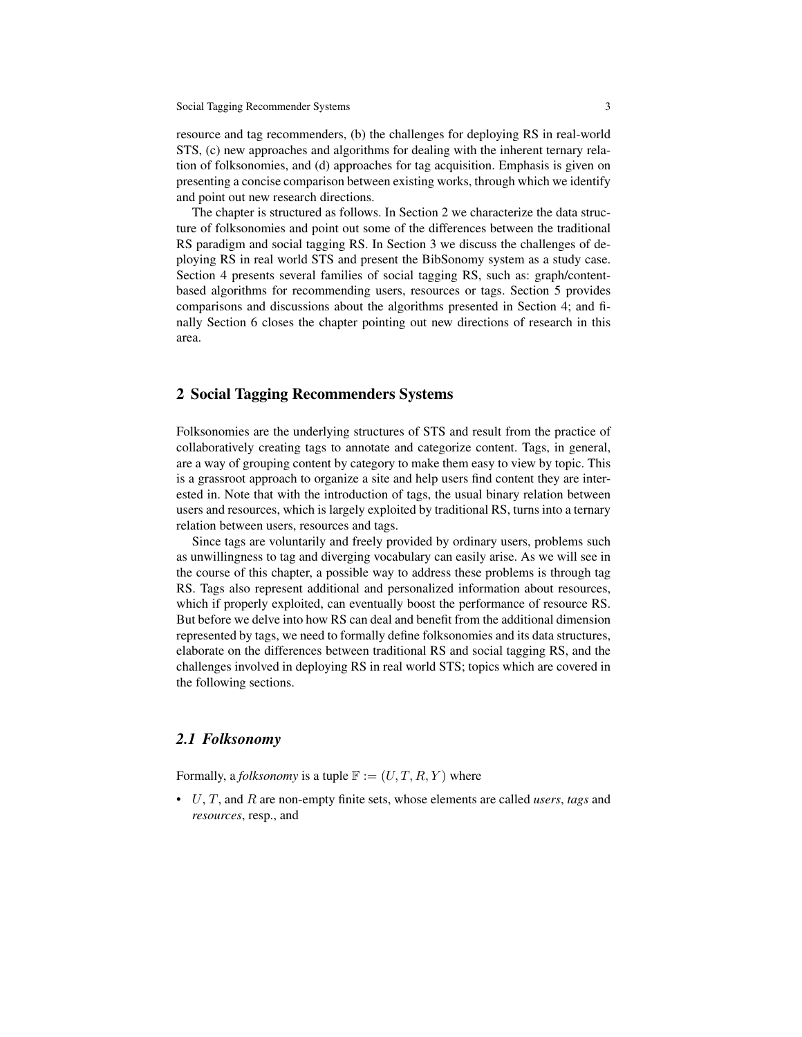resource and tag recommenders, (b) the challenges for deploying RS in real-world STS, (c) new approaches and algorithms for dealing with the inherent ternary relation of folksonomies, and (d) approaches for tag acquisition. Emphasis is given on presenting a concise comparison between existing works, through which we identify and point out new research directions.

The chapter is structured as follows. In Section 2 we characterize the data structure of folksonomies and point out some of the differences between the traditional RS paradigm and social tagging RS. In Section 3 we discuss the challenges of deploying RS in real world STS and present the BibSonomy system as a study case. Section 4 presents several families of social tagging RS, such as: graph/contentbased algorithms for recommending users, resources or tags. Section 5 provides comparisons and discussions about the algorithms presented in Section 4; and finally Section 6 closes the chapter pointing out new directions of research in this area.

### 2 Social Tagging Recommenders Systems

Folksonomies are the underlying structures of STS and result from the practice of collaboratively creating tags to annotate and categorize content. Tags, in general, are a way of grouping content by category to make them easy to view by topic. This is a grassroot approach to organize a site and help users find content they are interested in. Note that with the introduction of tags, the usual binary relation between users and resources, which is largely exploited by traditional RS, turns into a ternary relation between users, resources and tags.

Since tags are voluntarily and freely provided by ordinary users, problems such as unwillingness to tag and diverging vocabulary can easily arise. As we will see in the course of this chapter, a possible way to address these problems is through tag RS. Tags also represent additional and personalized information about resources, which if properly exploited, can eventually boost the performance of resource RS. But before we delve into how RS can deal and benefit from the additional dimension represented by tags, we need to formally define folksonomies and its data structures, elaborate on the differences between traditional RS and social tagging RS, and the challenges involved in deploying RS in real world STS; topics which are covered in the following sections.

#### *2.1 Folksonomy*

Formally, a *folksonomy* is a tuple  $F := (U, T, R, Y)$  where

• U, T, and R are non-empty finite sets, whose elements are called *users*, *tags* and *resources*, resp., and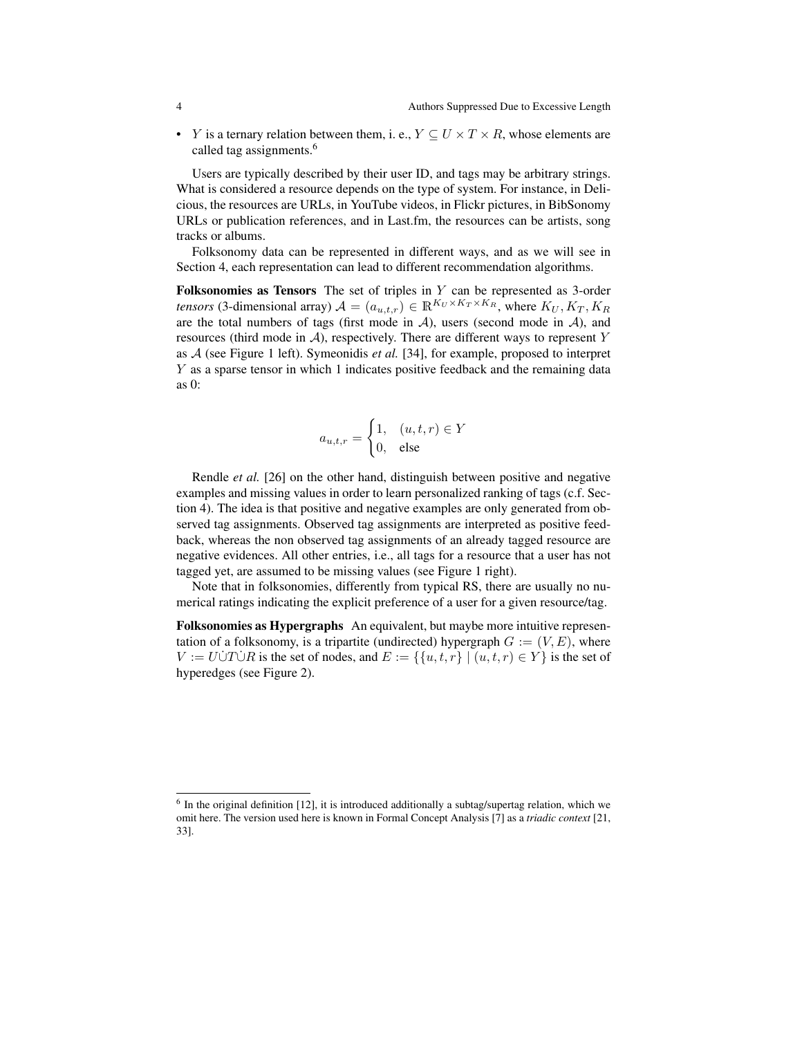• Y is a ternary relation between them, i. e.,  $Y \subseteq U \times T \times R$ , whose elements are called tag assignments.<sup>6</sup>

Users are typically described by their user ID, and tags may be arbitrary strings. What is considered a resource depends on the type of system. For instance, in Delicious, the resources are URLs, in YouTube videos, in Flickr pictures, in BibSonomy URLs or publication references, and in Last.fm, the resources can be artists, song tracks or albums.

Folksonomy data can be represented in different ways, and as we will see in Section 4, each representation can lead to different recommendation algorithms.

Folksonomies as Tensors The set of triples in  $Y$  can be represented as 3-order *tensors* (3-dimensional array)  $A = (a_{u,t,r}) \in \mathbb{R}^{K_U \times K_T \times K_R}$ , where  $K_U, K_T, K_R$ are the total numbers of tags (first mode in  $A$ ), users (second mode in  $A$ ), and resources (third mode in  $A$ ), respectively. There are different ways to represent Y as A (see Figure 1 left). Symeonidis *et al.* [34], for example, proposed to interpret Y as a sparse tensor in which 1 indicates positive feedback and the remaining data as 0:

$$
a_{u,t,r} = \begin{cases} 1, & (u,t,r) \in Y \\ 0, & \text{else} \end{cases}
$$

Rendle *et al.* [26] on the other hand, distinguish between positive and negative examples and missing values in order to learn personalized ranking of tags (c.f. Section 4). The idea is that positive and negative examples are only generated from observed tag assignments. Observed tag assignments are interpreted as positive feedback, whereas the non observed tag assignments of an already tagged resource are negative evidences. All other entries, i.e., all tags for a resource that a user has not tagged yet, are assumed to be missing values (see Figure 1 right).

Note that in folksonomies, differently from typical RS, there are usually no numerical ratings indicating the explicit preference of a user for a given resource/tag.

Folksonomies as Hypergraphs An equivalent, but maybe more intuitive representation of a folksonomy, is a tripartite (undirected) hypergraph  $G := (V, E)$ , where  $V := U \cup T \cup R$  is the set of nodes, and  $E := \{ \{u, t, r\} \mid (u, t, r) \in Y \}$  is the set of hyperedges (see Figure 2).

<sup>&</sup>lt;sup>6</sup> In the original definition [12], it is introduced additionally a subtag/supertag relation, which we omit here. The version used here is known in Formal Concept Analysis [7] as a *triadic context* [21, 33].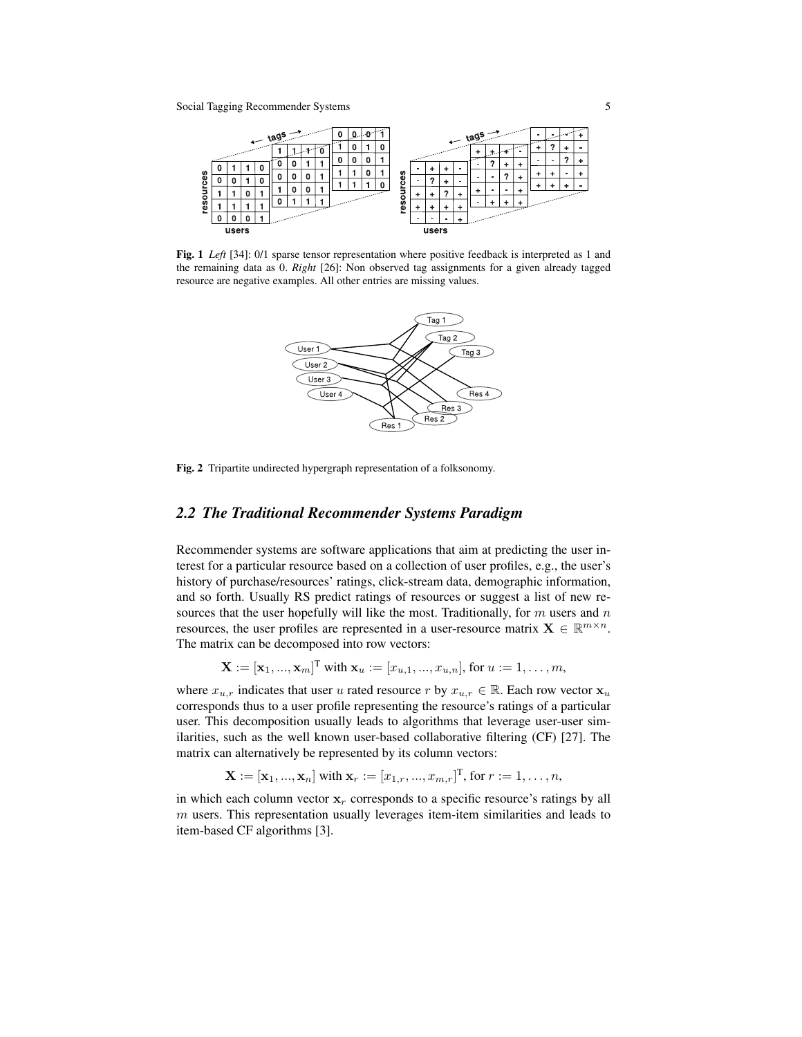

Fig. 1 *Left* [34]: 0/1 sparse tensor representation where positive feedback is interpreted as 1 and the remaining data as 0. *Right* [26]: Non observed tag assignments for a given already tagged resource are negative examples. All other entries are missing values.



Fig. 2 Tripartite undirected hypergraph representation of a folksonomy.

# *2.2 The Traditional Recommender Systems Paradigm*

Recommender systems are software applications that aim at predicting the user interest for a particular resource based on a collection of user profiles, e.g., the user's history of purchase/resources' ratings, click-stream data, demographic information, and so forth. Usually RS predict ratings of resources or suggest a list of new resources that the user hopefully will like the most. Traditionally, for  $m$  users and  $n$ resources, the user profiles are represented in a user-resource matrix  $\mathbf{X} \in \mathbb{R}^{m \times n}$ . The matrix can be decomposed into row vectors:

$$
\mathbf{X} := [\mathbf{x}_1, ..., \mathbf{x}_m]^{\mathrm{T}} \text{ with } \mathbf{x}_u := [x_{u,1}, ..., x_{u,n}], \text{ for } u := 1, ..., m,
$$

where  $x_{u,r}$  indicates that user u rated resource r by  $x_{u,r} \in \mathbb{R}$ . Each row vector  $x_u$ corresponds thus to a user profile representing the resource's ratings of a particular user. This decomposition usually leads to algorithms that leverage user-user similarities, such as the well known user-based collaborative filtering (CF) [27]. The matrix can alternatively be represented by its column vectors:

 $\mathbf{X} := [\mathbf{x}_1,...,\mathbf{x}_n]$  with  $\mathbf{x}_r := [x_{1,r},...,x_{m,r}]^\text{T}$ , for  $r := 1,\ldots,n,$ 

in which each column vector  $x_r$  corresponds to a specific resource's ratings by all  $m$  users. This representation usually leverages item-item similarities and leads to item-based CF algorithms [3].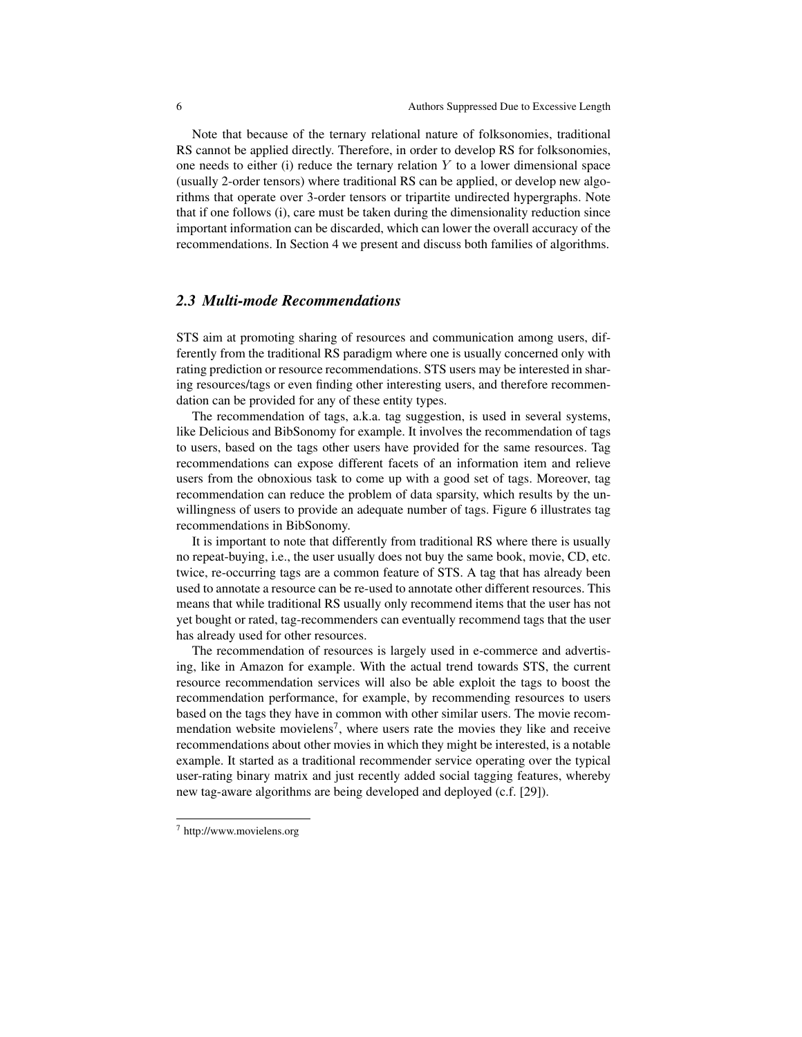Note that because of the ternary relational nature of folksonomies, traditional RS cannot be applied directly. Therefore, in order to develop RS for folksonomies, one needs to either (i) reduce the ternary relation  $Y$  to a lower dimensional space (usually 2-order tensors) where traditional RS can be applied, or develop new algorithms that operate over 3-order tensors or tripartite undirected hypergraphs. Note that if one follows (i), care must be taken during the dimensionality reduction since important information can be discarded, which can lower the overall accuracy of the recommendations. In Section 4 we present and discuss both families of algorithms.

#### *2.3 Multi-mode Recommendations*

STS aim at promoting sharing of resources and communication among users, differently from the traditional RS paradigm where one is usually concerned only with rating prediction or resource recommendations. STS users may be interested in sharing resources/tags or even finding other interesting users, and therefore recommendation can be provided for any of these entity types.

The recommendation of tags, a.k.a. tag suggestion, is used in several systems, like Delicious and BibSonomy for example. It involves the recommendation of tags to users, based on the tags other users have provided for the same resources. Tag recommendations can expose different facets of an information item and relieve users from the obnoxious task to come up with a good set of tags. Moreover, tag recommendation can reduce the problem of data sparsity, which results by the unwillingness of users to provide an adequate number of tags. Figure 6 illustrates tag recommendations in BibSonomy.

It is important to note that differently from traditional RS where there is usually no repeat-buying, i.e., the user usually does not buy the same book, movie, CD, etc. twice, re-occurring tags are a common feature of STS. A tag that has already been used to annotate a resource can be re-used to annotate other different resources. This means that while traditional RS usually only recommend items that the user has not yet bought or rated, tag-recommenders can eventually recommend tags that the user has already used for other resources.

The recommendation of resources is largely used in e-commerce and advertising, like in Amazon for example. With the actual trend towards STS, the current resource recommendation services will also be able exploit the tags to boost the recommendation performance, for example, by recommending resources to users based on the tags they have in common with other similar users. The movie recommendation website movielens<sup>7</sup>, where users rate the movies they like and receive recommendations about other movies in which they might be interested, is a notable example. It started as a traditional recommender service operating over the typical user-rating binary matrix and just recently added social tagging features, whereby new tag-aware algorithms are being developed and deployed (c.f. [29]).

<sup>7</sup> http://www.movielens.org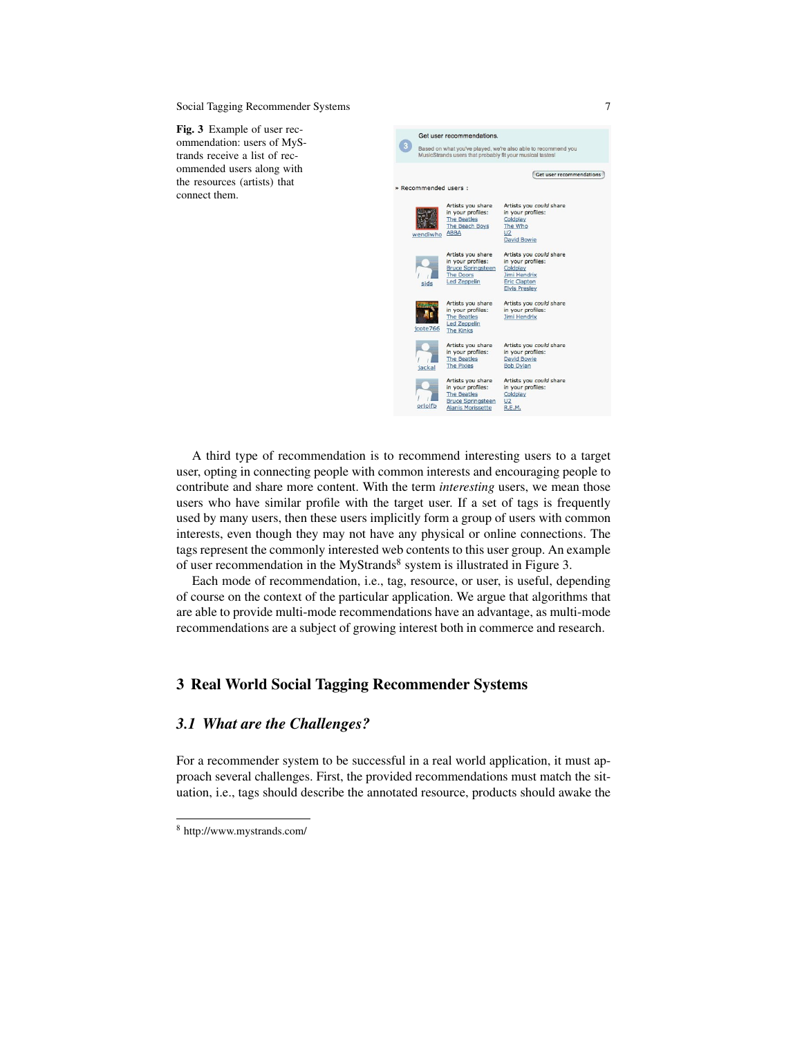



A third type of recommendation is to recommend interesting users to a target user, opting in connecting people with common interests and encouraging people to contribute and share more content. With the term *interesting* users, we mean those users who have similar profile with the target user. If a set of tags is frequently used by many users, then these users implicitly form a group of users with common interests, even though they may not have any physical or online connections. The tags represent the commonly interested web contents to this user group. An example of user recommendation in the MyStrands<sup>8</sup> system is illustrated in Figure 3.

Each mode of recommendation, i.e., tag, resource, or user, is useful, depending of course on the context of the particular application. We argue that algorithms that are able to provide multi-mode recommendations have an advantage, as multi-mode recommendations are a subject of growing interest both in commerce and research.

# 3 Real World Social Tagging Recommender Systems

### *3.1 What are the Challenges?*

For a recommender system to be successful in a real world application, it must approach several challenges. First, the provided recommendations must match the situation, i.e., tags should describe the annotated resource, products should awake the

<sup>8</sup> http://www.mystrands.com/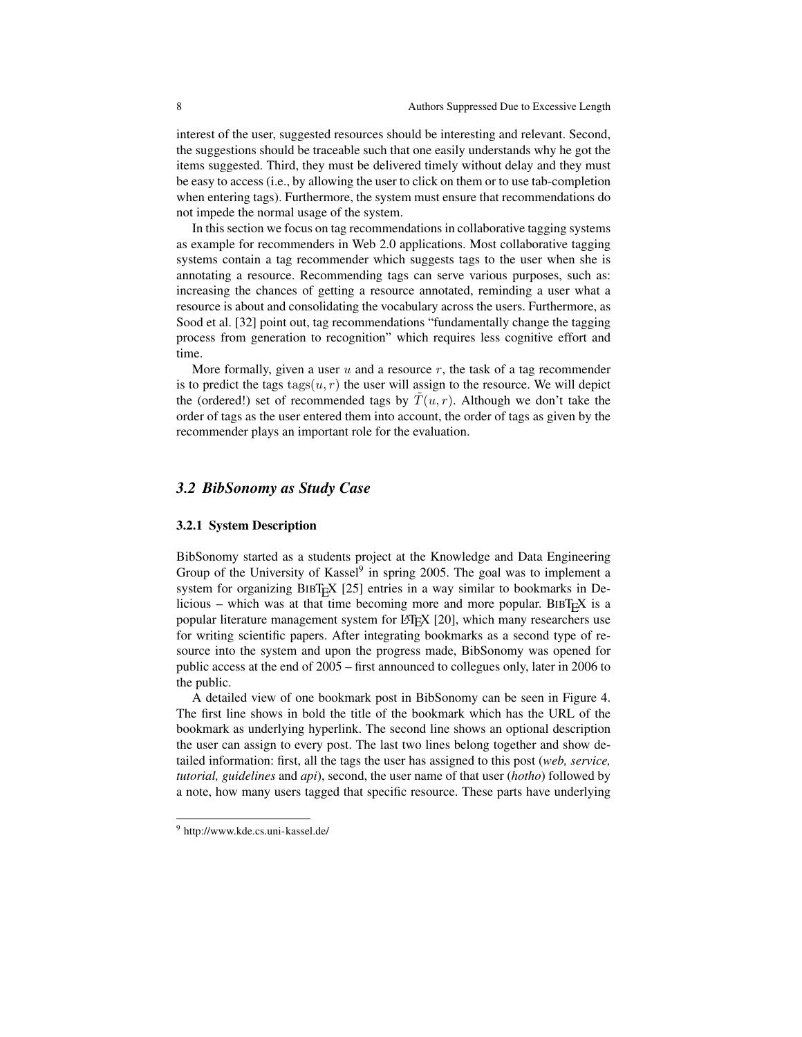interest of the user, suggested resources should be interesting and relevant. Second, the suggestions should be traceable such that one easily understands why he got the items suggested. Third, they must be delivered timely without delay and they must be easy to access (i.e., by allowing the user to click on them or to use tab-completion when entering tags). Furthermore, the system must ensure that recommendations do not impede the normal usage of the system.

In this section we focus on tag recommendations in collaborative tagging systems as example for recommenders in Web 2.0 applications. Most collaborative tagging systems contain a tag recommender which suggests tags to the user when she is annotating a resource. Recommending tags can serve various purposes, such as: increasing the chances of getting a resource annotated, reminding a user what a resource is about and consolidating the vocabulary across the users. Furthermore, as Sood et al. [32] point out, tag recommendations "fundamentally change the tagging process from generation to recognition" which requires less cognitive effort and time.

More formally, given a user u and a resource r, the task of a tag recommender is to predict the tags  $\text{tags}(u, r)$  the user will assign to the resource. We will depict the (ordered!) set of recommended tags by  $T(u, r)$ . Although we don't take the order of tags as the user entered them into account, the order of tags as given by the recommender plays an important role for the evaluation.

#### *3.2 BibSonomy as Study Case*

#### 3.2.1 System Description

BibSonomy started as a students project at the Knowledge and Data Engineering Group of the University of Kassel<sup>9</sup> in spring 2005. The goal was to implement a system for organizing  $BIBT$ <sub>E</sub>X [25] entries in a way similar to bookmarks in Delicious – which was at that time becoming more and more popular. BIBT<sub>E</sub>X is a popular literature management system for LATEX [20], which many researchers use for writing scientific papers. After integrating bookmarks as a second type of resource into the system and upon the progress made, BibSonomy was opened for public access at the end of 2005 – first announced to collegues only, later in 2006 to the public.

A detailed view of one bookmark post in BibSonomy can be seen in Figure 4. The first line shows in bold the title of the bookmark which has the URL of the bookmark as underlying hyperlink. The second line shows an optional description the user can assign to every post. The last two lines belong together and show detailed information: first, all the tags the user has assigned to this post (*web, service, tutorial, guidelines* and *api*), second, the user name of that user (*hotho*) followed by a note, how many users tagged that specific resource. These parts have underlying

<sup>9</sup> http://www.kde.cs.uni-kassel.de/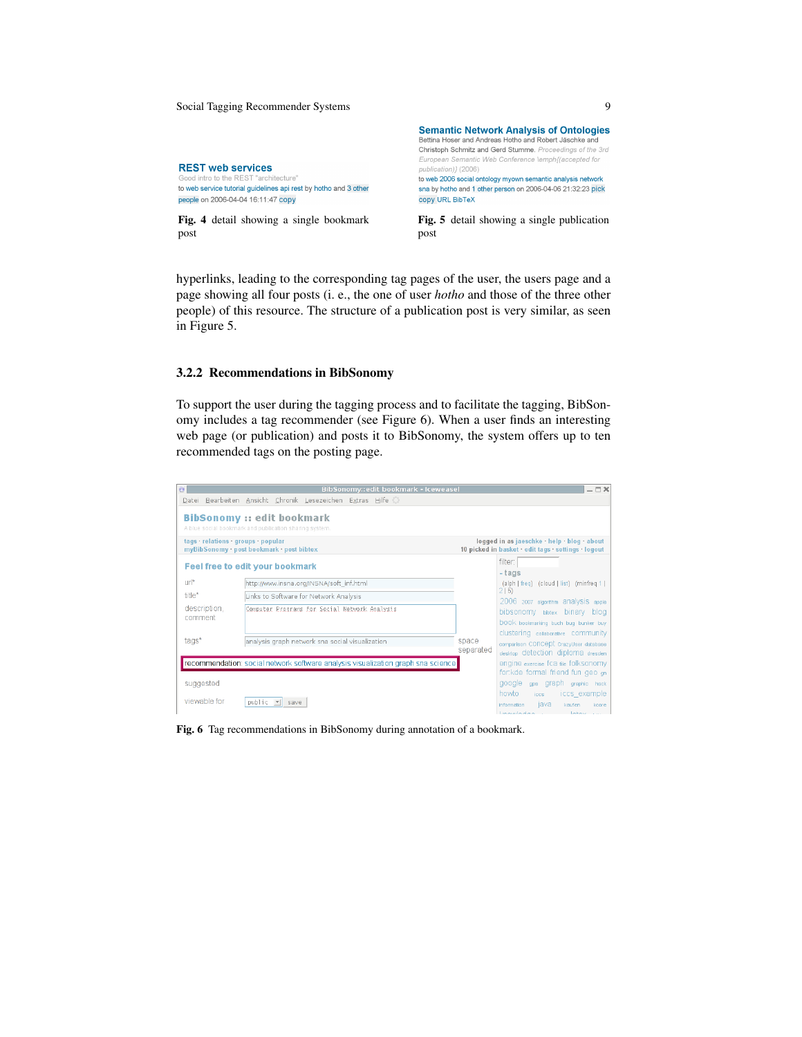| <b>REST web services</b><br>Good intro to the REST "architecture"<br>to web service tutorial guidelines api rest by hotho and 3 other<br>people on 2006-04-04 16:11:47 copy | <b>Semantic Network Analysis of Ontologies</b><br>Bettina Hoser and Andreas Hotho and Robert Jäschke and<br>Christoph Schmitz and Gerd Stumme. Proceedings of the 3rd<br>European Semantic Web Conference \emph{(accepted for<br>publication)} (2006)<br>to web 2006 social ontology myown semantic analysis network<br>sna by hotho and 1 other person on 2006-04-06 21:32:23 pick<br>copy URL BibTeX |
|-----------------------------------------------------------------------------------------------------------------------------------------------------------------------------|--------------------------------------------------------------------------------------------------------------------------------------------------------------------------------------------------------------------------------------------------------------------------------------------------------------------------------------------------------------------------------------------------------|
| <b>Fig. 4</b> detail showing a single bookmark                                                                                                                              | Fig. 5 detail showing a single publication                                                                                                                                                                                                                                                                                                                                                             |
| post                                                                                                                                                                        | post                                                                                                                                                                                                                                                                                                                                                                                                   |

hyperlinks, leading to the corresponding tag pages of the user, the users page and a page showing all four posts (i. e., the one of user *hotho* and those of the three other people) of this resource. The structure of a publication post is very similar, as seen in Figure 5.

#### 3.2.2 Recommendations in BibSonomy

To support the user during the tagging process and to facilitate the tagging, BibSonomy includes a tag recommender (see Figure 6). When a user finds an interesting web page (or publication) and posts it to BibSonomy, the system offers up to ten recommended tags on the posting page.



Fig. 6 Tag recommendations in BibSonomy during annotation of a bookmark.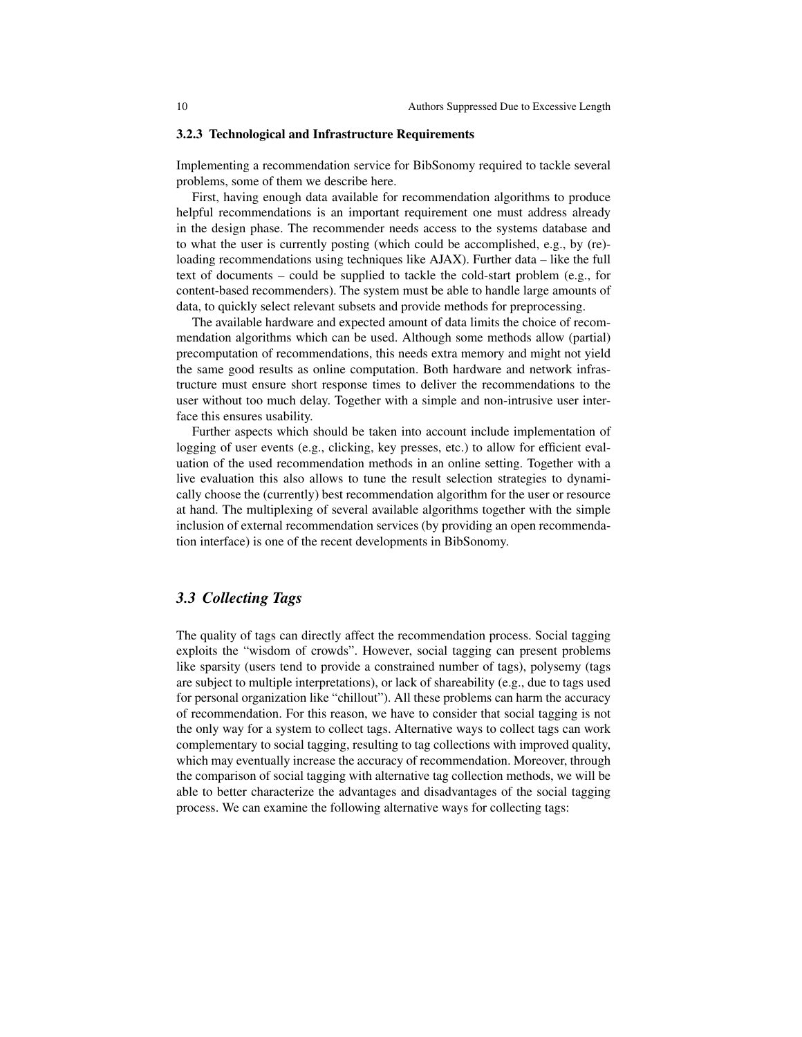#### 3.2.3 Technological and Infrastructure Requirements

Implementing a recommendation service for BibSonomy required to tackle several problems, some of them we describe here.

First, having enough data available for recommendation algorithms to produce helpful recommendations is an important requirement one must address already in the design phase. The recommender needs access to the systems database and to what the user is currently posting (which could be accomplished, e.g., by (re) loading recommendations using techniques like AJAX). Further data - like the full text of documents – could be supplied to tackle the cold-start problem (e.g., for content-based recommenders). The system must be able to handle large amounts of data, to quickly select relevant subsets and provide methods for preprocessing.

The available hardware and expected amount of data limits the choice of recommendation algorithms which can be used. Although some methods allow (partial) precomputation of recommendations, this needs extra memory and might not yield the same good results as online computation. Both hardware and network infrastructure must ensure short response times to deliver the recommendations to the user without too much delay. Together with a simple and non-intrusive user interface this ensures usability.

Further aspects which should be taken into account include implementation of logging of user events (e.g., clicking, key presses, etc.) to allow for efficient evaluation of the used recommendation methods in an online setting. Together with a live evaluation this also allows to tune the result selection strategies to dynamically choose the (currently) best recommendation algorithm for the user or resource at hand. The multiplexing of several available algorithms together with the simple inclusion of external recommendation services (by providing an open recommendation interface) is one of the recent developments in BibSonomy.

## *3.3 Collecting Tags*

The quality of tags can directly affect the recommendation process. Social tagging exploits the "wisdom of crowds". However, social tagging can present problems like sparsity (users tend to provide a constrained number of tags), polysemy (tags are subject to multiple interpretations), or lack of shareability (e.g., due to tags used for personal organization like "chillout"). All these problems can harm the accuracy of recommendation. For this reason, we have to consider that social tagging is not the only way for a system to collect tags. Alternative ways to collect tags can work complementary to social tagging, resulting to tag collections with improved quality, which may eventually increase the accuracy of recommendation. Moreover, through the comparison of social tagging with alternative tag collection methods, we will be able to better characterize the advantages and disadvantages of the social tagging process. We can examine the following alternative ways for collecting tags: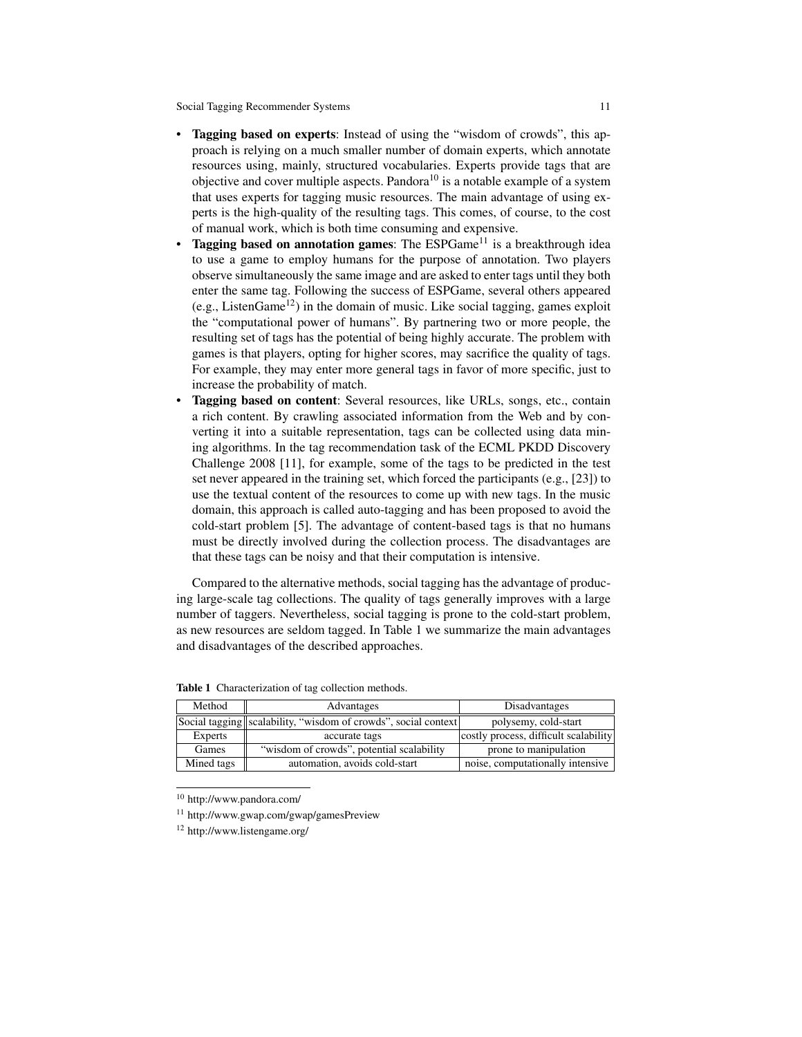- Tagging based on experts: Instead of using the "wisdom of crowds", this approach is relying on a much smaller number of domain experts, which annotate resources using, mainly, structured vocabularies. Experts provide tags that are objective and cover multiple aspects. Pandora<sup>10</sup> is a notable example of a system that uses experts for tagging music resources. The main advantage of using experts is the high-quality of the resulting tags. This comes, of course, to the cost of manual work, which is both time consuming and expensive.
- Tagging based on annotation games: The  $ESPGame<sup>11</sup>$  is a breakthrough idea to use a game to employ humans for the purpose of annotation. Two players observe simultaneously the same image and are asked to enter tags until they both enter the same tag. Following the success of ESPGame, several others appeared (e.g., ListenGame<sup>12</sup>) in the domain of music. Like social tagging, games exploit the "computational power of humans". By partnering two or more people, the resulting set of tags has the potential of being highly accurate. The problem with games is that players, opting for higher scores, may sacrifice the quality of tags. For example, they may enter more general tags in favor of more specific, just to increase the probability of match.
- Tagging based on content: Several resources, like URLs, songs, etc., contain a rich content. By crawling associated information from the Web and by converting it into a suitable representation, tags can be collected using data mining algorithms. In the tag recommendation task of the ECML PKDD Discovery Challenge 2008 [11], for example, some of the tags to be predicted in the test set never appeared in the training set, which forced the participants (e.g., [23]) to use the textual content of the resources to come up with new tags. In the music domain, this approach is called auto-tagging and has been proposed to avoid the cold-start problem [5]. The advantage of content-based tags is that no humans must be directly involved during the collection process. The disadvantages are that these tags can be noisy and that their computation is intensive.

Compared to the alternative methods, social tagging has the advantage of producing large-scale tag collections. The quality of tags generally improves with a large number of taggers. Nevertheless, social tagging is prone to the cold-start problem, as new resources are seldom tagged. In Table 1 we summarize the main advantages and disadvantages of the described approaches.

| Method     | Advantages                                                     | Disadvantages                         |  |
|------------|----------------------------------------------------------------|---------------------------------------|--|
|            | Social tagging scalability, "wisdom of crowds", social context | polysemy, cold-start                  |  |
| Experts    | accurate tags                                                  | costly process, difficult scalability |  |
| Games      | "wisdom of crowds", potential scalability                      | prone to manipulation                 |  |
| Mined tags | automation, avoids cold-start                                  | noise, computationally intensive      |  |

<sup>10</sup> http://www.pandora.com/

<sup>11</sup> http://www.gwap.com/gwap/gamesPreview

<sup>12</sup> http://www.listengame.org/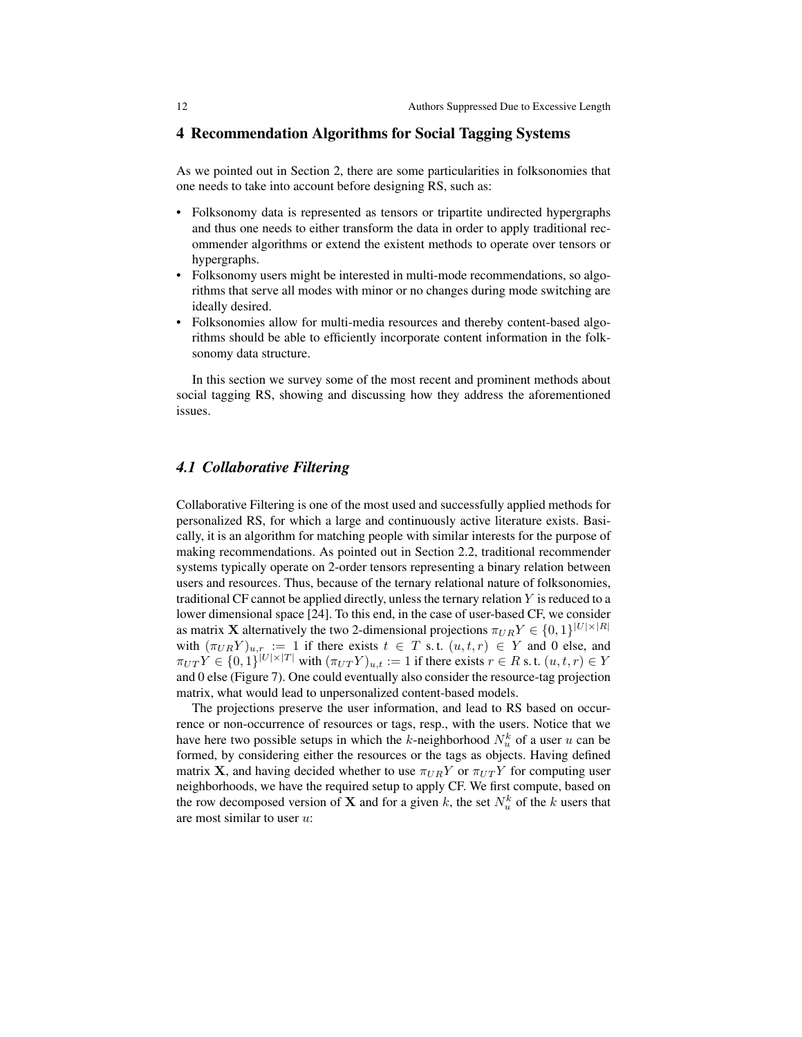### 4 Recommendation Algorithms for Social Tagging Systems

As we pointed out in Section 2, there are some particularities in folksonomies that one needs to take into account before designing RS, such as:

- Folksonomy data is represented as tensors or tripartite undirected hypergraphs and thus one needs to either transform the data in order to apply traditional recommender algorithms or extend the existent methods to operate over tensors or hypergraphs.
- Folksonomy users might be interested in multi-mode recommendations, so algorithms that serve all modes with minor or no changes during mode switching are ideally desired.
- Folksonomies allow for multi-media resources and thereby content-based algorithms should be able to efficiently incorporate content information in the folksonomy data structure.

In this section we survey some of the most recent and prominent methods about social tagging RS, showing and discussing how they address the aforementioned issues.

### *4.1 Collaborative Filtering*

Collaborative Filtering is one of the most used and successfully applied methods for personalized RS, for which a large and continuously active literature exists. Basically, it is an algorithm for matching people with similar interests for the purpose of making recommendations. As pointed out in Section 2.2, traditional recommender systems typically operate on 2-order tensors representing a binary relation between users and resources. Thus, because of the ternary relational nature of folksonomies, traditional CF cannot be applied directly, unless the ternary relation  $Y$  is reduced to a lower dimensional space [24]. To this end, in the case of user-based CF, we consider as matrix **X** alternatively the two 2-dimensional projections  $\pi_{UR}Y \in \{0,1\}^{|U|\times|R|}$ with  $(\pi_{UR}Y)_{u,r} := 1$  if there exists  $t \in T$  s.t.  $(u, t, r) \in Y$  and 0 else, and  $\pi_{UT}Y \in \{0,1\}^{|U|\times |T|}$  with  $(\pi_{UT}Y)_{u,t} := 1$  if there exists  $r \in R$  s. t.  $(u, t, r) \in Y$ and 0 else (Figure 7). One could eventually also consider the resource-tag projection matrix, what would lead to unpersonalized content-based models.

The projections preserve the user information, and lead to RS based on occurrence or non-occurrence of resources or tags, resp., with the users. Notice that we have here two possible setups in which the k-neighborhood  $N_u^k$  of a user u can be formed, by considering either the resources or the tags as objects. Having defined matrix **X**, and having decided whether to use  $\pi_{UR}Y$  or  $\pi_{UT}Y$  for computing user neighborhoods, we have the required setup to apply CF. We first compute, based on the row decomposed version of **X** and for a given k, the set  $N_u^k$  of the k users that are most similar to user u: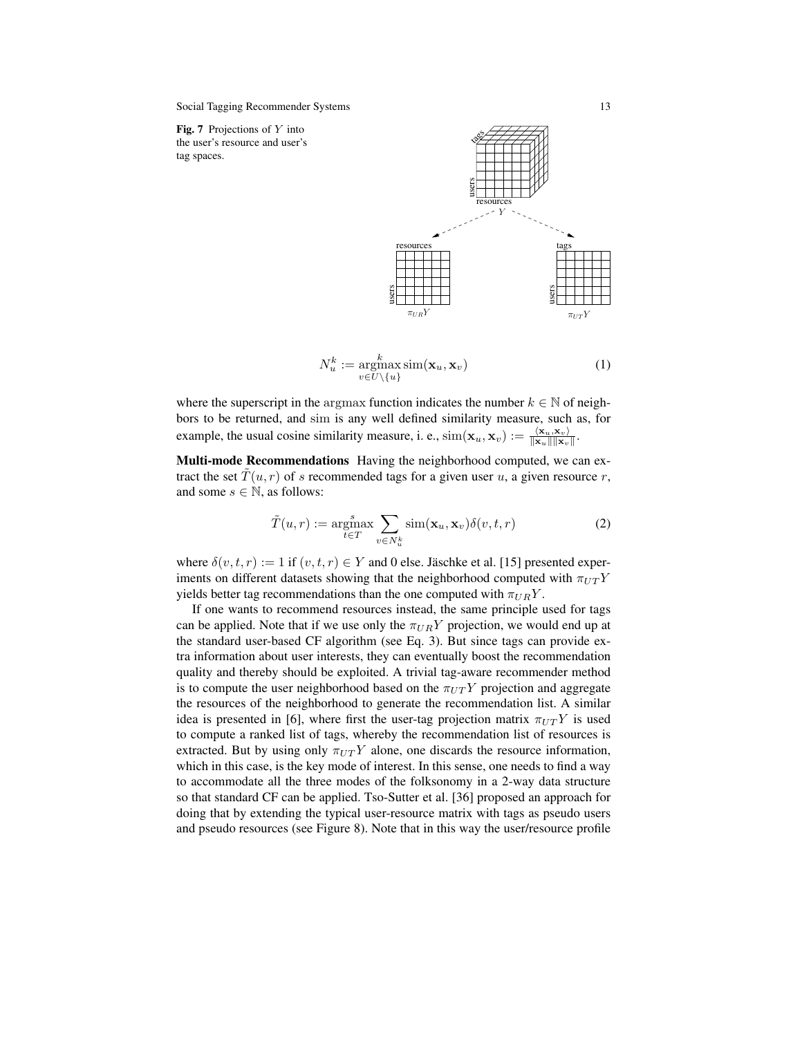Fig. 7 Projections of  $Y$  into the user's resource and user's tag spaces.



$$
N_u^k := \underset{v \in U \setminus \{u\}}{\operatorname{argmax}} \operatorname{sim}(\mathbf{x}_u, \mathbf{x}_v) \tag{1}
$$

where the superscript in the argmax function indicates the number  $k \in \mathbb{N}$  of neighbors to be returned, and sim is any well defined similarity measure, such as, for example, the usual cosine similarity measure, i. e.,  $\text{sim}(\mathbf{x}_u, \mathbf{x}_v) := \frac{\langle \mathbf{x}_u, \mathbf{x}_v \rangle}{\|\mathbf{x}_u\|\|\mathbf{x}_v\|}.$ 

Multi-mode Recommendations Having the neighborhood computed, we can extract the set  $\hat{T}(u, r)$  of s recommended tags for a given user u, a given resource r, and some  $s \in \mathbb{N}$ , as follows:

$$
\tilde{T}(u,r) := \underset{t \in T}{\text{argmax}} \sum_{v \in N_u^k} \text{sim}(\mathbf{x}_u, \mathbf{x}_v) \delta(v, t, r)
$$
\n(2)

where  $\delta(v, t, r) := 1$  if  $(v, t, r) \in Y$  and 0 else. Jäschke et al. [15] presented experiments on different datasets showing that the neighborhood computed with  $\pi_{UT}Y$ yields better tag recommendations than the one computed with  $\pi_{UR}Y$ .

If one wants to recommend resources instead, the same principle used for tags can be applied. Note that if we use only the  $\pi_{UR}Y$  projection, we would end up at the standard user-based CF algorithm (see Eq. 3). But since tags can provide extra information about user interests, they can eventually boost the recommendation quality and thereby should be exploited. A trivial tag-aware recommender method is to compute the user neighborhood based on the  $\pi_{UT}Y$  projection and aggregate the resources of the neighborhood to generate the recommendation list. A similar idea is presented in [6], where first the user-tag projection matrix  $\pi_{UT}Y$  is used to compute a ranked list of tags, whereby the recommendation list of resources is extracted. But by using only  $\pi_{UT}Y$  alone, one discards the resource information, which in this case, is the key mode of interest. In this sense, one needs to find a way to accommodate all the three modes of the folksonomy in a 2-way data structure so that standard CF can be applied. Tso-Sutter et al. [36] proposed an approach for doing that by extending the typical user-resource matrix with tags as pseudo users and pseudo resources (see Figure 8). Note that in this way the user/resource profile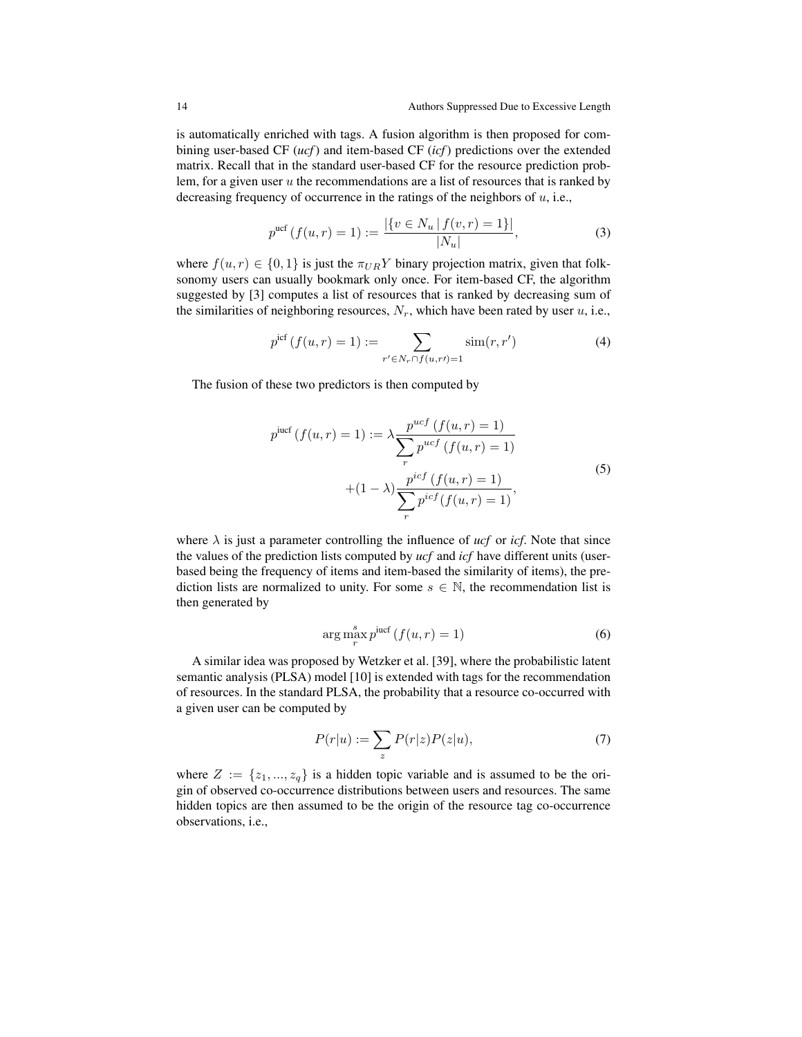is automatically enriched with tags. A fusion algorithm is then proposed for combining user-based CF (*ucf*) and item-based CF (*icf*) predictions over the extended matrix. Recall that in the standard user-based CF for the resource prediction problem, for a given user  $u$  the recommendations are a list of resources that is ranked by decreasing frequency of occurrence in the ratings of the neighbors of  $u$ , i.e.,

$$
p^{\text{ucf}}\left(f(u,r) = 1\right) := \frac{|\{v \in N_u \mid f(v,r) = 1\}|}{|N_u|},\tag{3}
$$

where  $f(u, r) \in \{0, 1\}$  is just the  $\pi_{UR}Y$  binary projection matrix, given that folksonomy users can usually bookmark only once. For item-based CF, the algorithm suggested by [3] computes a list of resources that is ranked by decreasing sum of the similarities of neighboring resources,  $N_r$ , which have been rated by user  $u$ , i.e.,

$$
p^{\text{ief}}(f(u,r) = 1) := \sum_{r' \in N_r \cap f(u,r') = 1} \text{sim}(r, r') \tag{4}
$$

The fusion of these two predictors is then computed by

$$
p^{\text{incf}}(f(u,r) = 1) := \lambda \frac{p^{ucf}(f(u,r) = 1)}{\sum_{r} p^{ucf}(f(u,r) = 1)}
$$
  
 
$$
+ (1 - \lambda) \frac{p^{icf}(f(u,r) = 1)}{\sum_{r} p^{icf}(f(u,r) = 1)},
$$
 (5)

where  $\lambda$  is just a parameter controlling the influence of *ucf* or *icf*. Note that since the values of the prediction lists computed by *ucf* and *icf* have different units (userbased being the frequency of items and item-based the similarity of items), the prediction lists are normalized to unity. For some  $s \in \mathbb{N}$ , the recommendation list is then generated by

$$
\arg\max_{r} p^{\text{incf}} \left( f(u, r) = 1 \right) \tag{6}
$$

A similar idea was proposed by Wetzker et al. [39], where the probabilistic latent semantic analysis (PLSA) model [10] is extended with tags for the recommendation of resources. In the standard PLSA, the probability that a resource co-occurred with a given user can be computed by

$$
P(r|u) := \sum_{z} P(r|z)P(z|u),\tag{7}
$$

where  $Z := \{z_1, ..., z_q\}$  is a hidden topic variable and is assumed to be the origin of observed co-occurrence distributions between users and resources. The same hidden topics are then assumed to be the origin of the resource tag co-occurrence observations, i.e.,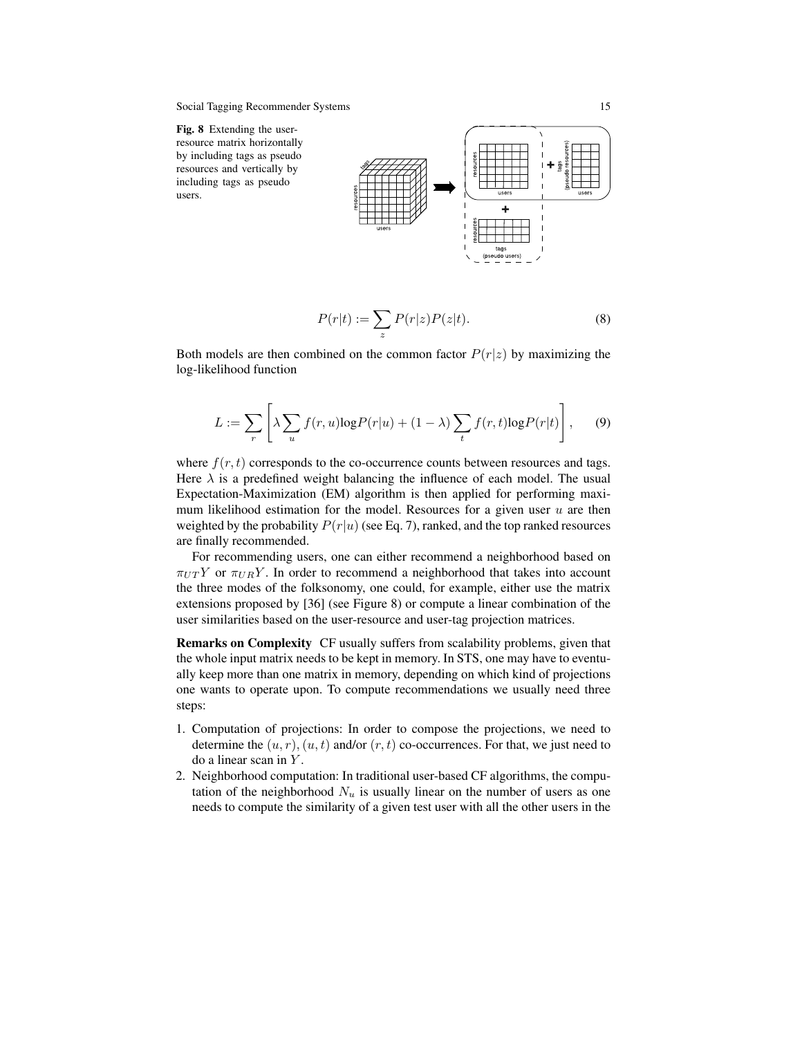



$$
P(r|t) := \sum_{z} P(r|z)P(z|t). \tag{8}
$$

Both models are then combined on the common factor  $P(r|z)$  by maximizing the log-likelihood function

$$
L := \sum_{r} \left[ \lambda \sum_{u} f(r, u) \log P(r|u) + (1 - \lambda) \sum_{t} f(r, t) \log P(r|t) \right], \quad (9)
$$

where  $f(r, t)$  corresponds to the co-occurrence counts between resources and tags. Here  $\lambda$  is a predefined weight balancing the influence of each model. The usual Expectation-Maximization (EM) algorithm is then applied for performing maximum likelihood estimation for the model. Resources for a given user  $u$  are then weighted by the probability  $P(r|u)$  (see Eq. 7), ranked, and the top ranked resources are finally recommended.

For recommending users, one can either recommend a neighborhood based on  $\pi_{UT}Y$  or  $\pi_{UR}Y$ . In order to recommend a neighborhood that takes into account the three modes of the folksonomy, one could, for example, either use the matrix extensions proposed by [36] (see Figure 8) or compute a linear combination of the user similarities based on the user-resource and user-tag projection matrices.

Remarks on Complexity CF usually suffers from scalability problems, given that the whole input matrix needs to be kept in memory. In STS, one may have to eventually keep more than one matrix in memory, depending on which kind of projections one wants to operate upon. To compute recommendations we usually need three steps:

- 1. Computation of projections: In order to compose the projections, we need to determine the  $(u, r), (u, t)$  and/or  $(r, t)$  co-occurrences. For that, we just need to do a linear scan in  $Y$ .
- 2. Neighborhood computation: In traditional user-based CF algorithms, the computation of the neighborhood  $N_u$  is usually linear on the number of users as one needs to compute the similarity of a given test user with all the other users in the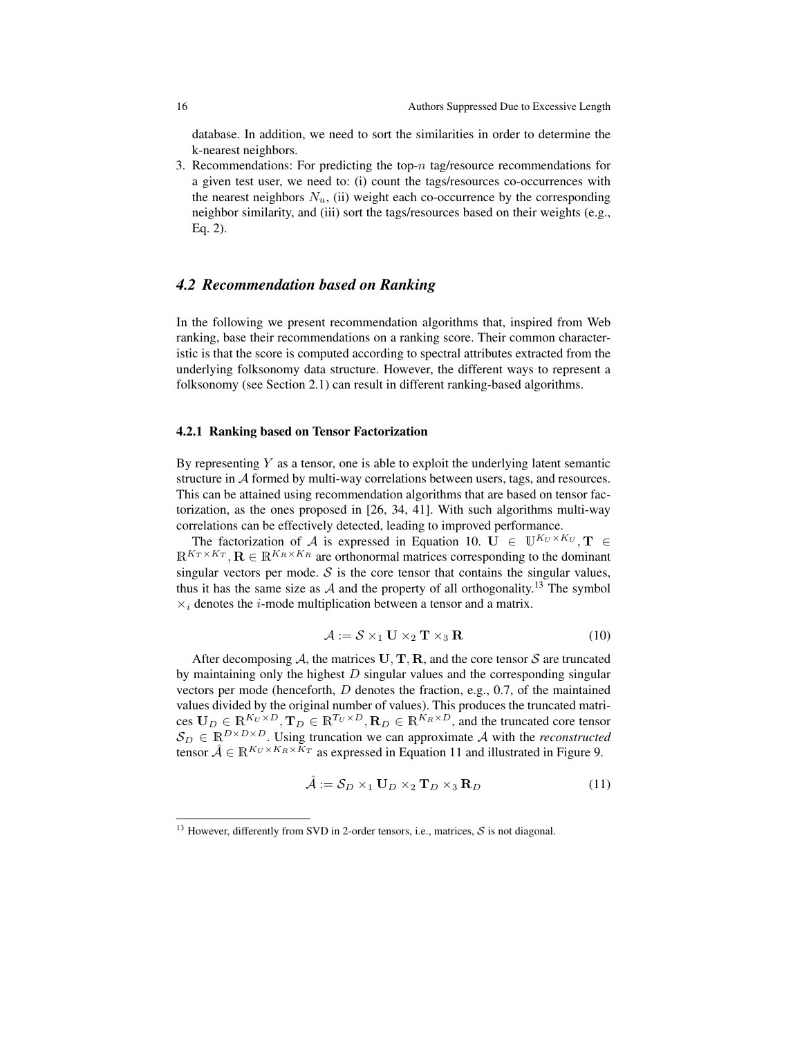database. In addition, we need to sort the similarities in order to determine the k-nearest neighbors.

3. Recommendations: For predicting the top- $n$  tag/resource recommendations for a given test user, we need to: (i) count the tags/resources co-occurrences with the nearest neighbors  $N_u$ , (ii) weight each co-occurrence by the corresponding neighbor similarity, and (iii) sort the tags/resources based on their weights (e.g., Eq. 2).

### *4.2 Recommendation based on Ranking*

In the following we present recommendation algorithms that, inspired from Web ranking, base their recommendations on a ranking score. Their common characteristic is that the score is computed according to spectral attributes extracted from the underlying folksonomy data structure. However, the different ways to represent a folksonomy (see Section 2.1) can result in different ranking-based algorithms.

#### 4.2.1 Ranking based on Tensor Factorization

By representing  $Y$  as a tensor, one is able to exploit the underlying latent semantic structure in A formed by multi-way correlations between users, tags, and resources. This can be attained using recommendation algorithms that are based on tensor factorization, as the ones proposed in [26, 34, 41]. With such algorithms multi-way correlations can be effectively detected, leading to improved performance.

The factorization of A is expressed in Equation 10. U  $\in \mathbb{U}^{K_U \times K_U}, \mathbf{T} \in$  $\mathbb{R}^{K_T \times K_T}$ ,  $\mathbf{R} \in \mathbb{R}^{K_R \times K_R}$  are orthonormal matrices corresponding to the dominant singular vectors per mode.  $S$  is the core tensor that contains the singular values, thus it has the same size as  $A$  and the property of all orthogonality.<sup>13</sup> The symbol  $\times_i$  denotes the *i*-mode multiplication between a tensor and a matrix.

$$
\mathcal{A} := \mathcal{S} \times_1 \mathbf{U} \times_2 \mathbf{T} \times_3 \mathbf{R} \tag{10}
$$

After decomposing  $\mathcal{A}$ , the matrices  $\mathbf{U}, \mathbf{T}, \mathbf{R}$ , and the core tensor  $\mathcal{S}$  are truncated by maintaining only the highest  $D$  singular values and the corresponding singular vectors per mode (henceforth, D denotes the fraction, e.g., 0.7, of the maintained values divided by the original number of values). This produces the truncated matrices  $U_D \in \mathbb{R}^{K_U \times D}, \mathbf{T}_D \in \mathbb{R}^{T_U \times D}, \mathbf{R}_D \in \mathbb{R}^{K_R \times D}$ , and the truncated core tensor  $S_D \in \mathbb{R}^{D \times D \times D}$ . Using truncation we can approximate A with the *reconstructed* tensor  $\hat{\mathcal{A}} \in \mathbb{R}^{K_U \times K_R \times \bar{K}_T}$  as expressed in Equation 11 and illustrated in Figure 9.

$$
\hat{\mathcal{A}} := \mathcal{S}_D \times_1 \mathbf{U}_D \times_2 \mathbf{T}_D \times_3 \mathbf{R}_D \tag{11}
$$

<sup>&</sup>lt;sup>13</sup> However, differently from SVD in 2-order tensors, i.e., matrices,  $S$  is not diagonal.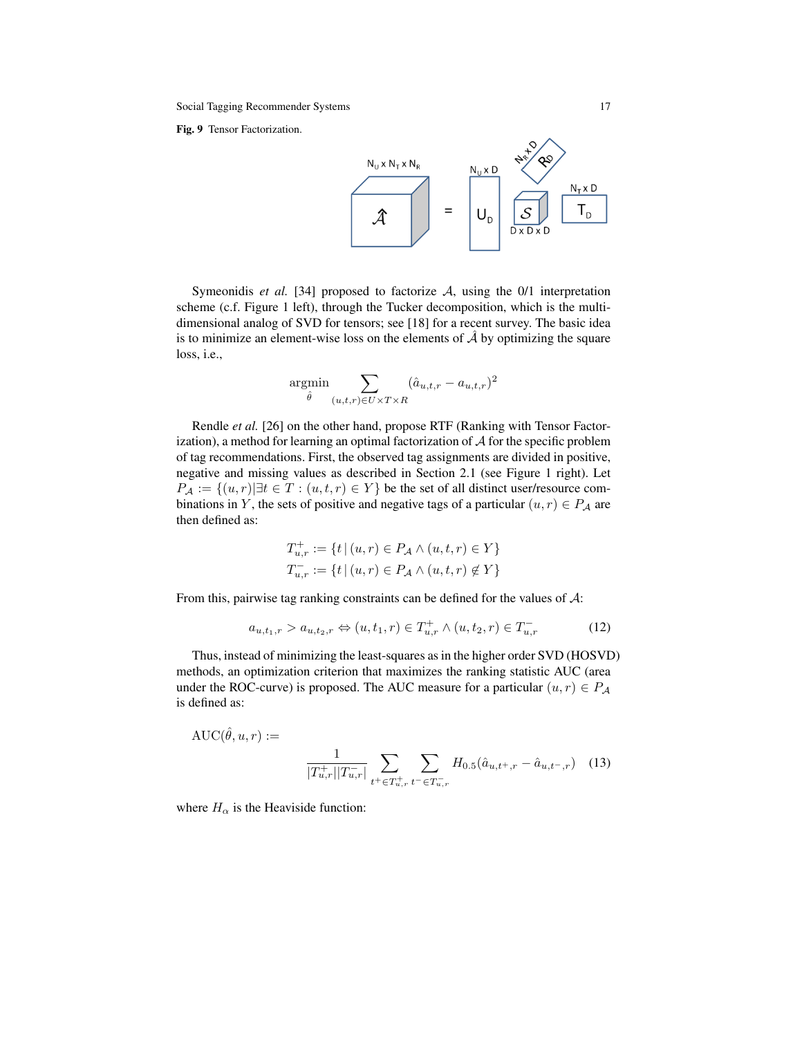Fig. 9 Tensor Factorization.



Symeonidis *et al.* [34] proposed to factorize A, using the 0/1 interpretation scheme (c.f. Figure 1 left), through the Tucker decomposition, which is the multidimensional analog of SVD for tensors; see [18] for a recent survey. The basic idea is to minimize an element-wise loss on the elements of  $\hat{A}$  by optimizing the square loss, i.e.,

$$
\underset{\hat{\theta}}{\text{argmin}} \sum_{(u,t,r) \in U \times T \times R} (\hat{a}_{u,t,r} - a_{u,t,r})^2
$$

Rendle *et al.* [26] on the other hand, propose RTF (Ranking with Tensor Factorization), a method for learning an optimal factorization of  $A$  for the specific problem of tag recommendations. First, the observed tag assignments are divided in positive, negative and missing values as described in Section 2.1 (see Figure 1 right). Let  $P_A := \{(u, r) | \exists t \in T : (u, t, r) \in Y\}$  be the set of all distinct user/resource combinations in Y, the sets of positive and negative tags of a particular  $(u, r) \in P_A$  are then defined as:

$$
T_{u,r}^{+} := \{ t \mid (u,r) \in P_{\mathcal{A}} \land (u,t,r) \in Y \}
$$
  

$$
T_{u,r}^{-} := \{ t \mid (u,r) \in P_{\mathcal{A}} \land (u,t,r) \notin Y \}
$$

From this, pairwise tag ranking constraints can be defined for the values of  $A$ :

$$
a_{u,t_1,r} > a_{u,t_2,r} \Leftrightarrow (u,t_1,r) \in T_{u,r}^+ \wedge (u,t_2,r) \in T_{u,r}^- \tag{12}
$$

Thus, instead of minimizing the least-squares as in the higher order SVD (HOSVD) methods, an optimization criterion that maximizes the ranking statistic AUC (area under the ROC-curve) is proposed. The AUC measure for a particular  $(u, r) \in P_A$ is defined as:

AUC(
$$
\hat{\theta}, u, r
$$
) :=  
\n
$$
\frac{1}{|T_{u,r}^+||T_{u,r}^-|} \sum_{t^+ \in T_{u,r}^+} \sum_{t^- \in T_{u,r}^-} H_{0.5}(\hat{a}_{u,t^+,r} - \hat{a}_{u,t^-,r})
$$
(13)

where  $H_{\alpha}$  is the Heaviside function: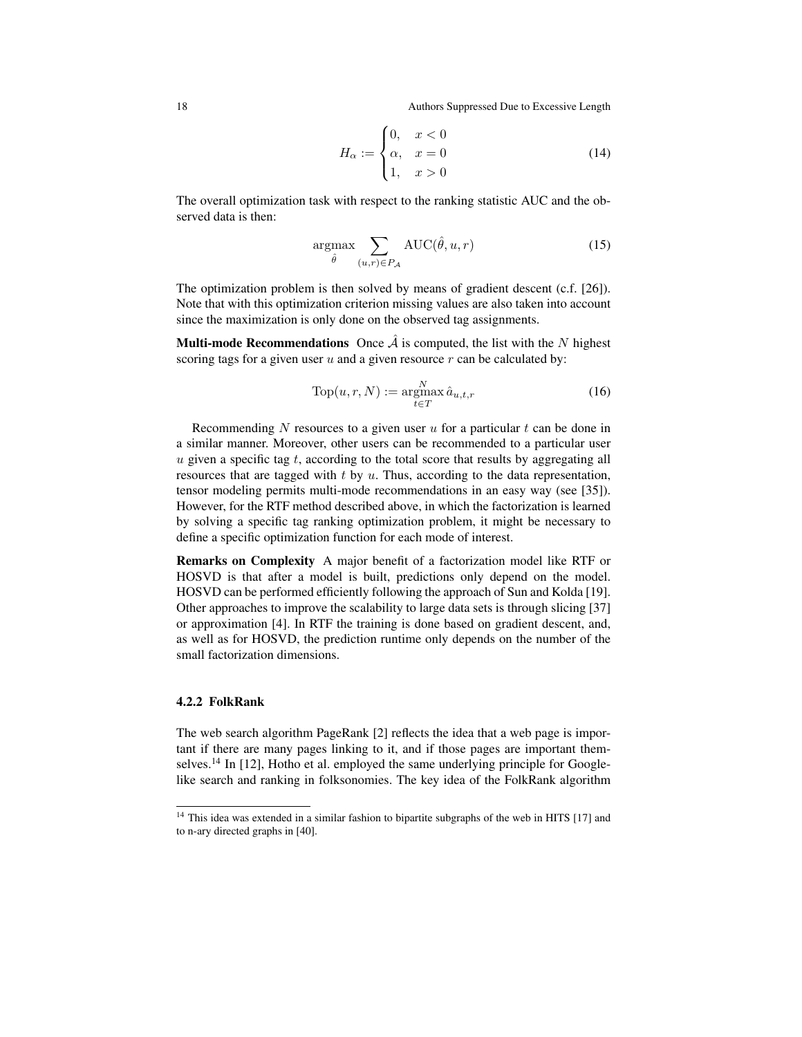18 Authors Suppressed Due to Excessive Length

$$
H_{\alpha} := \begin{cases} 0, & x < 0 \\ \alpha, & x = 0 \\ 1, & x > 0 \end{cases} \tag{14}
$$

The overall optimization task with respect to the ranking statistic AUC and the observed data is then:

$$
\underset{\hat{\theta}}{\operatorname{argmax}} \sum_{(u,r)\in P_{\mathcal{A}}} \operatorname{AUC}(\hat{\theta}, u, r) \tag{15}
$$

The optimization problem is then solved by means of gradient descent (c.f. [26]). Note that with this optimization criterion missing values are also taken into account since the maximization is only done on the observed tag assignments.

**Multi-mode Recommendations** Once  $\hat{A}$  is computed, the list with the N highest scoring tags for a given user  $u$  and a given resource  $r$  can be calculated by:

$$
Top(u,r,N) := \underset{t \in T}{\operatorname{argmax}} \hat{a}_{u,t,r} \tag{16}
$$

Recommending N resources to a given user  $u$  for a particular  $t$  can be done in a similar manner. Moreover, other users can be recommended to a particular user  $u$  given a specific tag  $t$ , according to the total score that results by aggregating all resources that are tagged with  $t$  by  $u$ . Thus, according to the data representation, tensor modeling permits multi-mode recommendations in an easy way (see [35]). However, for the RTF method described above, in which the factorization is learned by solving a specific tag ranking optimization problem, it might be necessary to define a specific optimization function for each mode of interest.

Remarks on Complexity A major benefit of a factorization model like RTF or HOSVD is that after a model is built, predictions only depend on the model. HOSVD can be performed efficiently following the approach of Sun and Kolda [19]. Other approaches to improve the scalability to large data sets is through slicing [37] or approximation [4]. In RTF the training is done based on gradient descent, and, as well as for HOSVD, the prediction runtime only depends on the number of the small factorization dimensions.

#### 4.2.2 FolkRank

The web search algorithm PageRank [2] reflects the idea that a web page is important if there are many pages linking to it, and if those pages are important themselves.<sup>14</sup> In [12], Hotho et al. employed the same underlying principle for Googlelike search and ranking in folksonomies. The key idea of the FolkRank algorithm

<sup>&</sup>lt;sup>14</sup> This idea was extended in a similar fashion to bipartite subgraphs of the web in HITS [17] and to n-ary directed graphs in [40].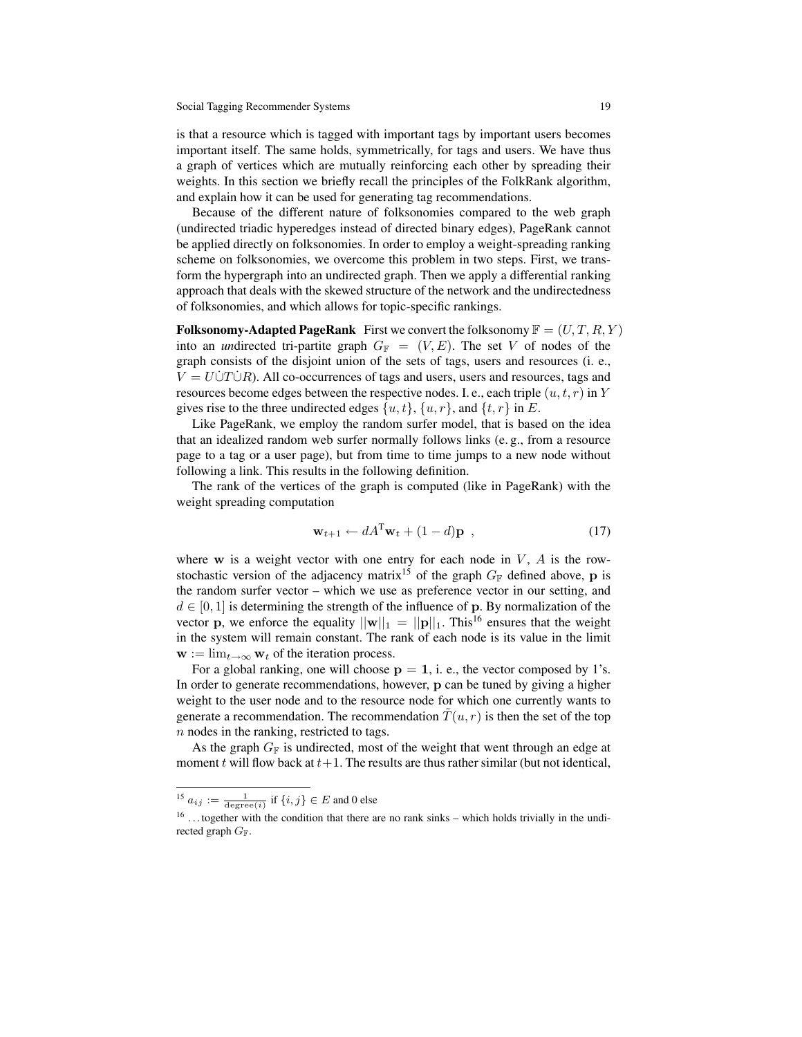is that a resource which is tagged with important tags by important users becomes important itself. The same holds, symmetrically, for tags and users. We have thus a graph of vertices which are mutually reinforcing each other by spreading their weights. In this section we briefly recall the principles of the FolkRank algorithm, and explain how it can be used for generating tag recommendations.

Because of the different nature of folksonomies compared to the web graph (undirected triadic hyperedges instead of directed binary edges), PageRank cannot be applied directly on folksonomies. In order to employ a weight-spreading ranking scheme on folksonomies, we overcome this problem in two steps. First, we transform the hypergraph into an undirected graph. Then we apply a differential ranking approach that deals with the skewed structure of the network and the undirectedness of folksonomies, and which allows for topic-specific rankings.

Folksonomy-Adapted PageRank First we convert the folksonomy  $\mathbb{F} = (U, T, R, Y)$ into an *un*directed tri-partite graph  $G_F = (V, E)$ . The set V of nodes of the graph consists of the disjoint union of the sets of tags, users and resources (i. e.,  $V = U \dot{\cup} T \dot{\cup} R$ ). All co-occurrences of tags and users, users and resources, tags and resources become edges between the respective nodes. I. e., each triple  $(u, t, r)$  in Y gives rise to the three undirected edges  $\{u, t\}$ ,  $\{u, r\}$ , and  $\{t, r\}$  in E.

Like PageRank, we employ the random surfer model, that is based on the idea that an idealized random web surfer normally follows links (e. g., from a resource page to a tag or a user page), but from time to time jumps to a new node without following a link. This results in the following definition.

The rank of the vertices of the graph is computed (like in PageRank) with the weight spreading computation

$$
\mathbf{w}_{t+1} \leftarrow dA^{\mathrm{T}} \mathbf{w}_t + (1 - d)\mathbf{p} \tag{17}
$$

where  $w$  is a weight vector with one entry for each node in  $V$ ,  $A$  is the rowstochastic version of the adjacency matrix<sup>15</sup> of the graph  $G_F$  defined above, p is the random surfer vector – which we use as preference vector in our setting, and  $d \in [0, 1]$  is determining the strength of the influence of p. By normalization of the vector p, we enforce the equality  $||\mathbf{w}||_1 = ||\mathbf{p}||_1$ . This<sup>16</sup> ensures that the weight in the system will remain constant. The rank of each node is its value in the limit  $\mathbf{w} := \lim_{t \to \infty} \mathbf{w}_t$  of the iteration process.

For a global ranking, one will choose  $p = 1$ , i. e., the vector composed by 1's. In order to generate recommendations, however, p can be tuned by giving a higher weight to the user node and to the resource node for which one currently wants to generate a recommendation. The recommendation  $T(u, r)$  is then the set of the top n nodes in the ranking, restricted to tags.

As the graph  $G_F$  is undirected, most of the weight that went through an edge at moment t will flow back at  $t+1$ . The results are thus rather similar (but not identical,

<sup>&</sup>lt;sup>15</sup>  $a_{ij} := \frac{1}{\text{degree}(i)}$  if  $\{i, j\} \in E$  and 0 else

 $16$  ...together with the condition that there are no rank sinks – which holds trivially in the undirected graph  $G_F$ .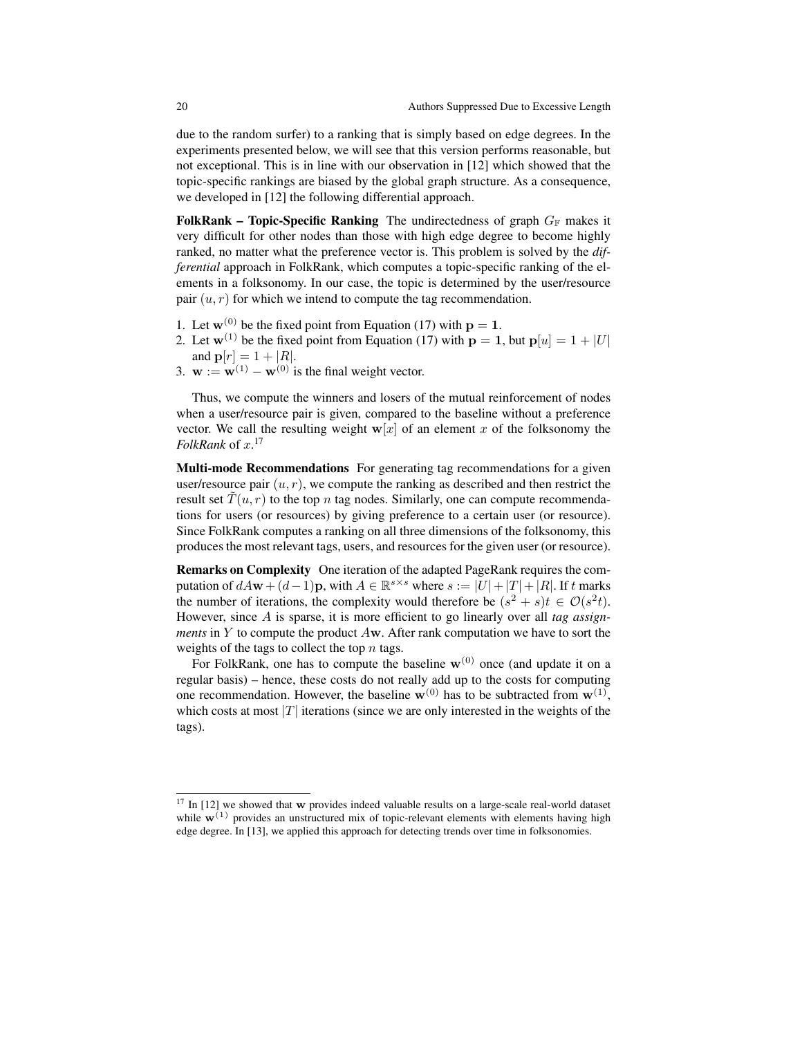due to the random surfer) to a ranking that is simply based on edge degrees. In the experiments presented below, we will see that this version performs reasonable, but not exceptional. This is in line with our observation in [12] which showed that the topic-specific rankings are biased by the global graph structure. As a consequence, we developed in [12] the following differential approach.

**FolkRank – Topic-Specific Ranking** The undirectedness of graph  $G_F$  makes it very difficult for other nodes than those with high edge degree to become highly ranked, no matter what the preference vector is. This problem is solved by the *differential* approach in FolkRank, which computes a topic-specific ranking of the elements in a folksonomy. In our case, the topic is determined by the user/resource pair  $(u, r)$  for which we intend to compute the tag recommendation.

- 1. Let  $w^{(0)}$  be the fixed point from Equation (17) with  $p = 1$ .
- 2. Let  $w^{(1)}$  be the fixed point from Equation (17) with  $p = 1$ , but  $p[u] = 1 + |U|$ and  $p[r] = 1 + |R|$ .
- 3.  $\mathbf{w} := \mathbf{w}^{(1)} \mathbf{w}^{(0)}$  is the final weight vector.

Thus, we compute the winners and losers of the mutual reinforcement of nodes when a user/resource pair is given, compared to the baseline without a preference vector. We call the resulting weight  $w[x]$  of an element x of the folksonomy the *FolkRank* of x. 17

Multi-mode Recommendations For generating tag recommendations for a given user/resource pair  $(u, r)$ , we compute the ranking as described and then restrict the result set  $T(u, r)$  to the top n tag nodes. Similarly, one can compute recommendations for users (or resources) by giving preference to a certain user (or resource). Since FolkRank computes a ranking on all three dimensions of the folksonomy, this produces the most relevant tags, users, and resources for the given user (or resource).

Remarks on Complexity One iteration of the adapted PageRank requires the computation of  $dA\mathbf{w} + (d-1)\mathbf{p}$ , with  $A \in \mathbb{R}^{s \times s}$  where  $s := |U| + |T| + |R|$ . If t marks the number of iterations, the complexity would therefore be  $(s^2 + s)t \in \mathcal{O}(s^2t)$ . However, since A is sparse, it is more efficient to go linearly over all *tag assignments* in Y to compute the product Aw. After rank computation we have to sort the weights of the tags to collect the top  $n$  tags.

For FolkRank, one has to compute the baseline  $w^{(0)}$  once (and update it on a regular basis) – hence, these costs do not really add up to the costs for computing one recommendation. However, the baseline  $w^{(0)}$  has to be subtracted from  $w^{(1)}$ , which costs at most  $|T|$  iterations (since we are only interested in the weights of the tags).

 $17$  In [12] we showed that w provides indeed valuable results on a large-scale real-world dataset while  $w^{(1)}$  provides an unstructured mix of topic-relevant elements with elements having high edge degree. In [13], we applied this approach for detecting trends over time in folksonomies.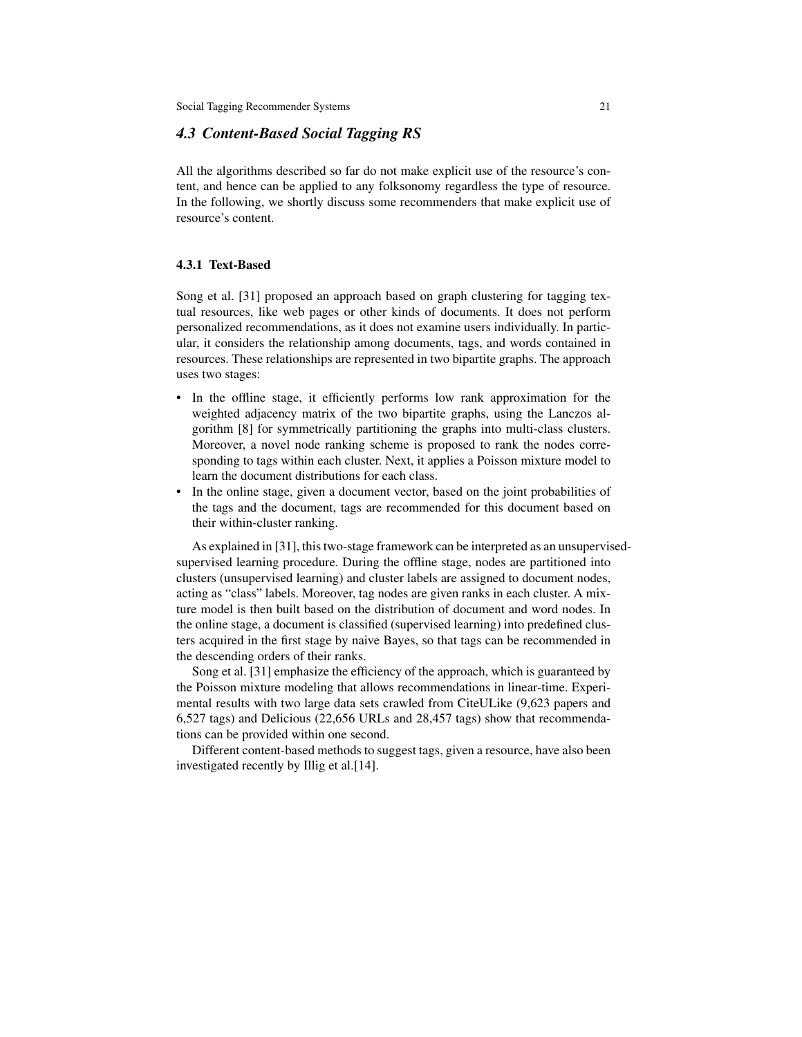### *4.3 Content-Based Social Tagging RS*

All the algorithms described so far do not make explicit use of the resource's content, and hence can be applied to any folksonomy regardless the type of resource. In the following, we shortly discuss some recommenders that make explicit use of resource's content.

#### 4.3.1 Text-Based

Song et al. [31] proposed an approach based on graph clustering for tagging textual resources, like web pages or other kinds of documents. It does not perform personalized recommendations, as it does not examine users individually. In particular, it considers the relationship among documents, tags, and words contained in resources. These relationships are represented in two bipartite graphs. The approach uses two stages:

- In the offline stage, it efficiently performs low rank approximation for the weighted adjacency matrix of the two bipartite graphs, using the Lanczos algorithm [8] for symmetrically partitioning the graphs into multi-class clusters. Moreover, a novel node ranking scheme is proposed to rank the nodes corresponding to tags within each cluster. Next, it applies a Poisson mixture model to learn the document distributions for each class.
- In the online stage, given a document vector, based on the joint probabilities of the tags and the document, tags are recommended for this document based on their within-cluster ranking.

As explained in [31], this two-stage framework can be interpreted as an unsupervisedsupervised learning procedure. During the offline stage, nodes are partitioned into clusters (unsupervised learning) and cluster labels are assigned to document nodes, acting as "class" labels. Moreover, tag nodes are given ranks in each cluster. A mixture model is then built based on the distribution of document and word nodes. In the online stage, a document is classified (supervised learning) into predefined clusters acquired in the first stage by naive Bayes, so that tags can be recommended in the descending orders of their ranks.

Song et al. [31] emphasize the efficiency of the approach, which is guaranteed by the Poisson mixture modeling that allows recommendations in linear-time. Experimental results with two large data sets crawled from CiteULike (9,623 papers and 6,527 tags) and Delicious (22,656 URLs and 28,457 tags) show that recommendations can be provided within one second.

Different content-based methods to suggest tags, given a resource, have also been investigated recently by Illig et al.[14].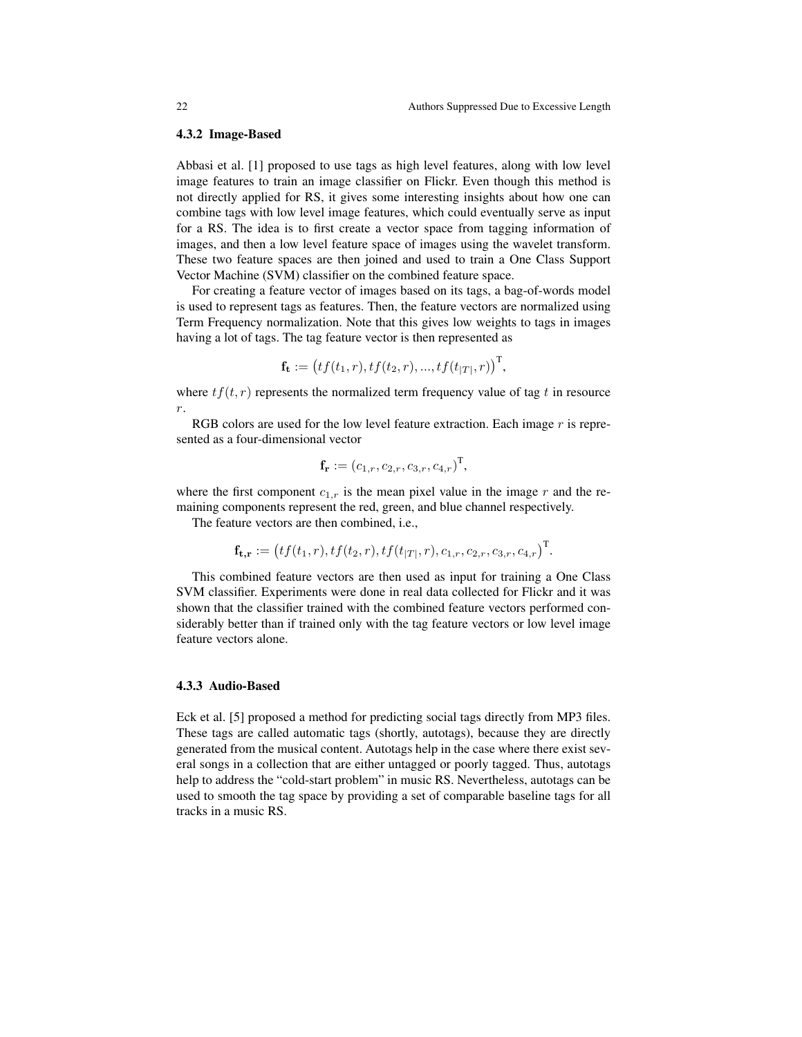#### 4.3.2 Image-Based

Abbasi et al. [1] proposed to use tags as high level features, along with low level image features to train an image classifier on Flickr. Even though this method is not directly applied for RS, it gives some interesting insights about how one can combine tags with low level image features, which could eventually serve as input for a RS. The idea is to first create a vector space from tagging information of images, and then a low level feature space of images using the wavelet transform. These two feature spaces are then joined and used to train a One Class Support Vector Machine (SVM) classifier on the combined feature space.

For creating a feature vector of images based on its tags, a bag-of-words model is used to represent tags as features. Then, the feature vectors are normalized using Term Frequency normalization. Note that this gives low weights to tags in images having a lot of tags. The tag feature vector is then represented as

$$
\mathbf{f_t} := (tf(t_1,r), tf(t_2,r), ..., tf(t_{|T|},r))^{\mathrm{T}},
$$

where  $tf(t, r)$  represents the normalized term frequency value of tag t in resource r.

RGB colors are used for the low level feature extraction. Each image  $r$  is represented as a four-dimensional vector

$$
\mathbf{f}_{\mathbf{r}} := (c_{1,r}, c_{2,r}, c_{3,r}, c_{4,r})^{\mathrm{T}},
$$

where the first component  $c_{1,r}$  is the mean pixel value in the image r and the remaining components represent the red, green, and blue channel respectively.

The feature vectors are then combined, i.e.,

$$
\mathbf{f_{t,r}} := (tf(t_1,r), tf(t_2,r), tf(t_{|T|},r), c_{1,r}, c_{2,r}, c_{3,r}, c_{4,r})^{\mathrm{T}}.
$$

This combined feature vectors are then used as input for training a One Class SVM classifier. Experiments were done in real data collected for Flickr and it was shown that the classifier trained with the combined feature vectors performed considerably better than if trained only with the tag feature vectors or low level image feature vectors alone.

#### 4.3.3 Audio-Based

Eck et al. [5] proposed a method for predicting social tags directly from MP3 files. These tags are called automatic tags (shortly, autotags), because they are directly generated from the musical content. Autotags help in the case where there exist several songs in a collection that are either untagged or poorly tagged. Thus, autotags help to address the "cold-start problem" in music RS. Nevertheless, autotags can be used to smooth the tag space by providing a set of comparable baseline tags for all tracks in a music RS.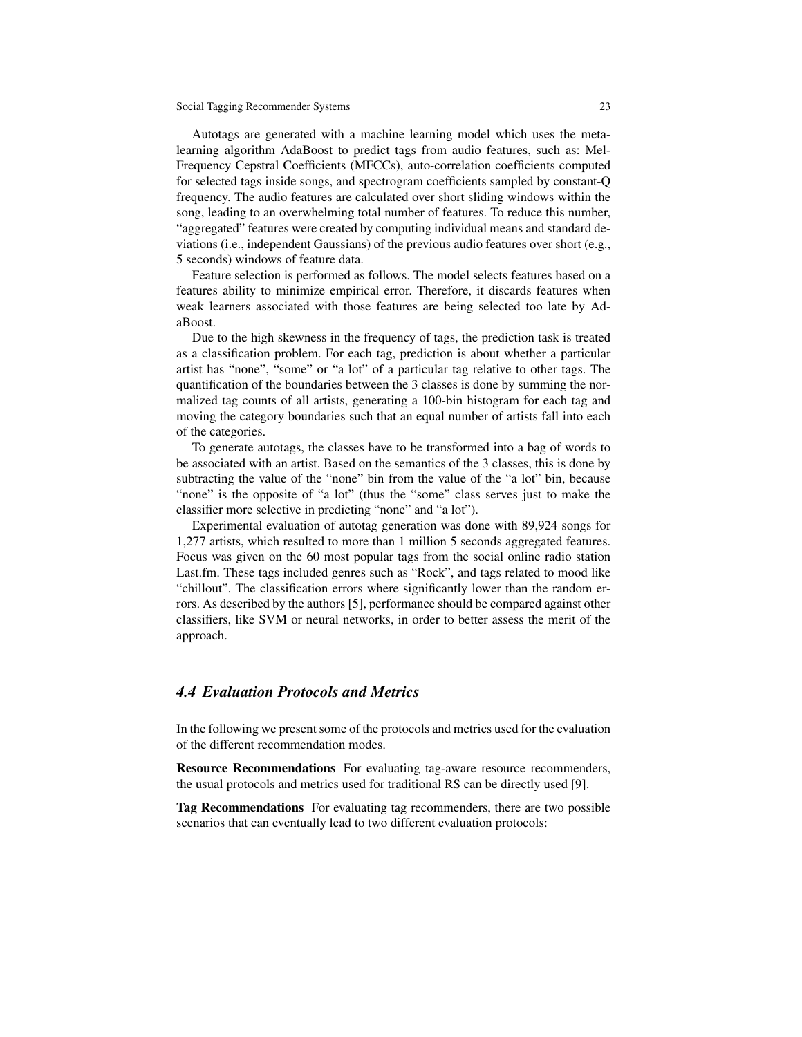Autotags are generated with a machine learning model which uses the metalearning algorithm AdaBoost to predict tags from audio features, such as: Mel-Frequency Cepstral Coefficients (MFCCs), auto-correlation coefficients computed for selected tags inside songs, and spectrogram coefficients sampled by constant-Q frequency. The audio features are calculated over short sliding windows within the song, leading to an overwhelming total number of features. To reduce this number, "aggregated" features were created by computing individual means and standard deviations (i.e., independent Gaussians) of the previous audio features over short (e.g., 5 seconds) windows of feature data.

Feature selection is performed as follows. The model selects features based on a features ability to minimize empirical error. Therefore, it discards features when weak learners associated with those features are being selected too late by AdaBoost.

Due to the high skewness in the frequency of tags, the prediction task is treated as a classification problem. For each tag, prediction is about whether a particular artist has "none", "some" or "a lot" of a particular tag relative to other tags. The quantification of the boundaries between the 3 classes is done by summing the normalized tag counts of all artists, generating a 100-bin histogram for each tag and moving the category boundaries such that an equal number of artists fall into each of the categories.

To generate autotags, the classes have to be transformed into a bag of words to be associated with an artist. Based on the semantics of the 3 classes, this is done by subtracting the value of the "none" bin from the value of the "a lot" bin, because "none" is the opposite of "a lot" (thus the "some" class serves just to make the classifier more selective in predicting "none" and "a lot").

Experimental evaluation of autotag generation was done with 89,924 songs for 1,277 artists, which resulted to more than 1 million 5 seconds aggregated features. Focus was given on the 60 most popular tags from the social online radio station Last.fm. These tags included genres such as "Rock", and tags related to mood like "chillout". The classification errors where significantly lower than the random errors. As described by the authors [5], performance should be compared against other classifiers, like SVM or neural networks, in order to better assess the merit of the approach.

### *4.4 Evaluation Protocols and Metrics*

In the following we present some of the protocols and metrics used for the evaluation of the different recommendation modes.

Resource Recommendations For evaluating tag-aware resource recommenders, the usual protocols and metrics used for traditional RS can be directly used [9].

Tag Recommendations For evaluating tag recommenders, there are two possible scenarios that can eventually lead to two different evaluation protocols: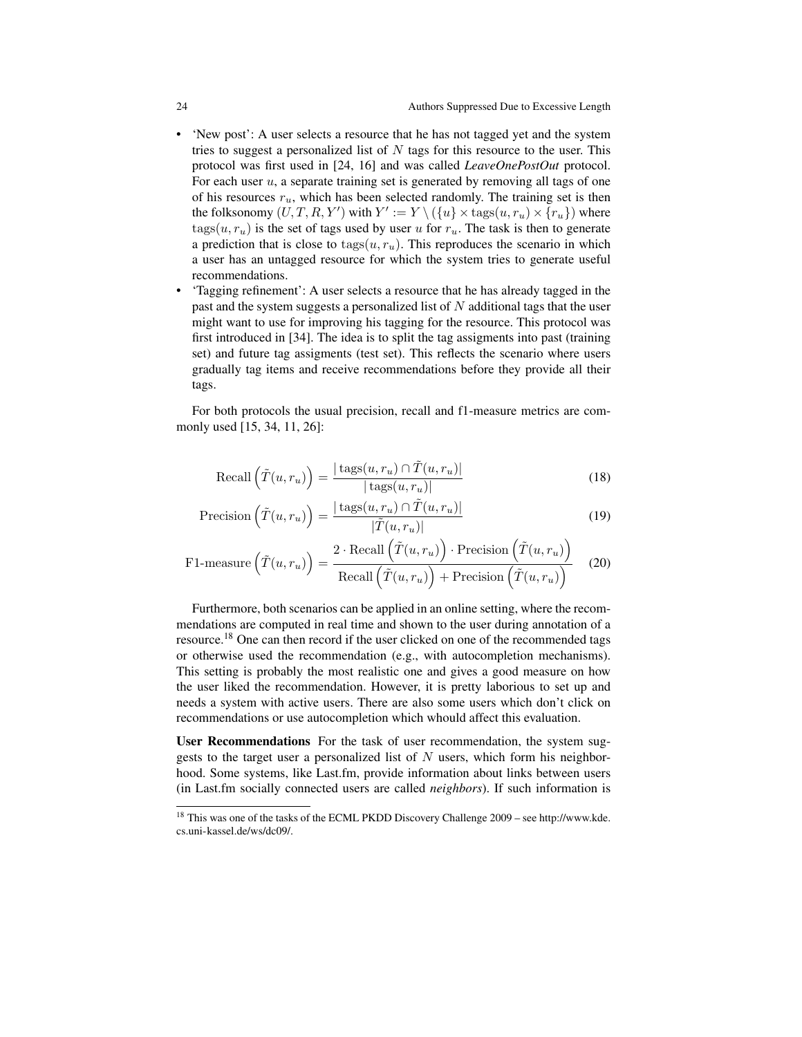- 'New post': A user selects a resource that he has not tagged yet and the system tries to suggest a personalized list of  $N$  tags for this resource to the user. This protocol was first used in [24, 16] and was called *LeaveOnePostOut* protocol. For each user  $u$ , a separate training set is generated by removing all tags of one of his resources  $r_u$ , which has been selected randomly. The training set is then the folksonomy  $(U, T, R, Y')$  with  $Y' := Y \setminus (\{u\} \times \text{tags}(u, r_u) \times \{r_u\})$  where  $\text{tags}(u, r_u)$  is the set of tags used by user u for  $r_u$ . The task is then to generate a prediction that is close to  $\text{tags}(u, r_u)$ . This reproduces the scenario in which a user has an untagged resource for which the system tries to generate useful recommendations.
- 'Tagging refinement': A user selects a resource that he has already tagged in the past and the system suggests a personalized list of  $N$  additional tags that the user might want to use for improving his tagging for the resource. This protocol was first introduced in [34]. The idea is to split the tag assigments into past (training set) and future tag assigments (test set). This reflects the scenario where users gradually tag items and receive recommendations before they provide all their tags.

For both protocols the usual precision, recall and f1-measure metrics are commonly used [15, 34, 11, 26]:

$$
\text{Recall}\left(\tilde{T}(u,r_u)\right) = \frac{|\text{tags}(u,r_u) \cap \tilde{T}(u,r_u)|}{|\text{tags}(u,r_u)|} \tag{18}
$$

$$
Precision\left(\tilde{T}(u, r_u)\right) = \frac{|\text{tags}(u, r_u) \cap \tilde{T}(u, r_u)|}{|\tilde{T}(u, r_u)|}
$$
\n(19)

F1-measure 
$$
(\tilde{T}(u, r_u)) = \frac{2 \cdot \text{Recall}(\tilde{T}(u, r_u)) \cdot \text{Precision}(\tilde{T}(u, r_u))}{\text{Recall}(\tilde{T}(u, r_u)) + \text{Precision}(\tilde{T}(u, r_u))}
$$
 (20)

Furthermore, both scenarios can be applied in an online setting, where the recommendations are computed in real time and shown to the user during annotation of a resource.<sup>18</sup> One can then record if the user clicked on one of the recommended tags or otherwise used the recommendation (e.g., with autocompletion mechanisms). This setting is probably the most realistic one and gives a good measure on how the user liked the recommendation. However, it is pretty laborious to set up and needs a system with active users. There are also some users which don't click on recommendations or use autocompletion which whould affect this evaluation.

User Recommendations For the task of user recommendation, the system suggests to the target user a personalized list of  $N$  users, which form his neighborhood. Some systems, like Last.fm, provide information about links between users (in Last.fm socially connected users are called *neighbors*). If such information is

<sup>&</sup>lt;sup>18</sup> This was one of the tasks of the ECML PKDD Discovery Challenge 2009 – see http://www.kde. cs.uni-kassel.de/ws/dc09/.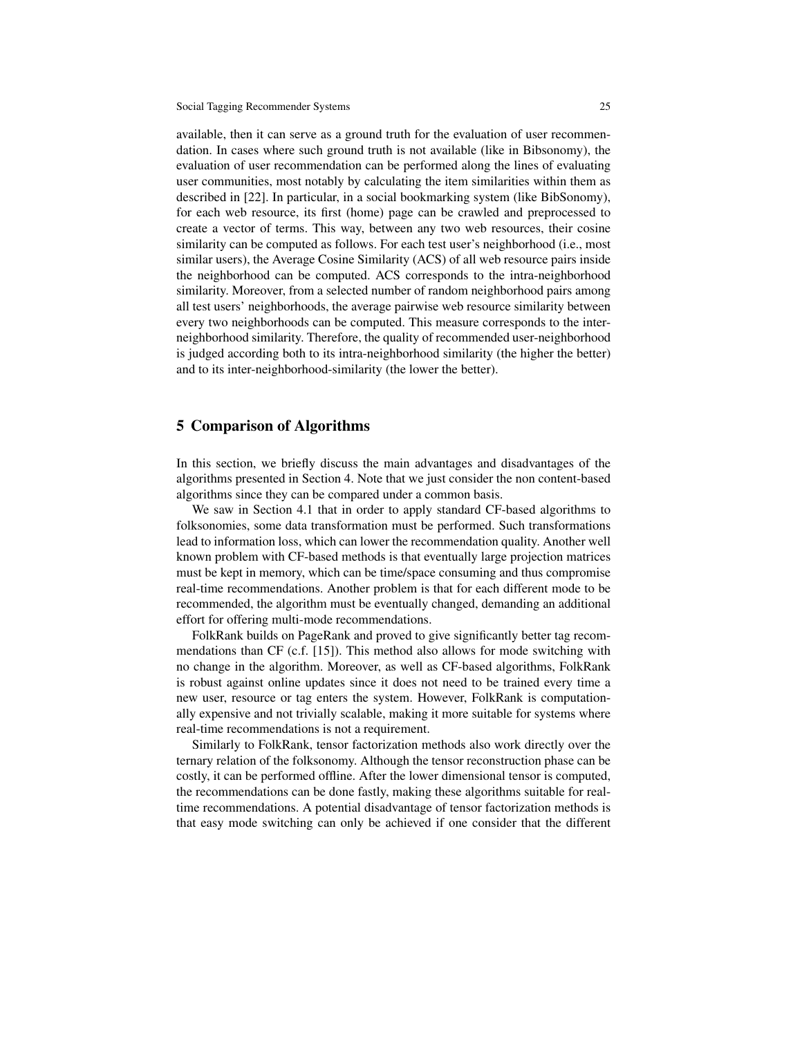available, then it can serve as a ground truth for the evaluation of user recommendation. In cases where such ground truth is not available (like in Bibsonomy), the evaluation of user recommendation can be performed along the lines of evaluating user communities, most notably by calculating the item similarities within them as described in [22]. In particular, in a social bookmarking system (like BibSonomy), for each web resource, its first (home) page can be crawled and preprocessed to create a vector of terms. This way, between any two web resources, their cosine similarity can be computed as follows. For each test user's neighborhood (i.e., most similar users), the Average Cosine Similarity (ACS) of all web resource pairs inside the neighborhood can be computed. ACS corresponds to the intra-neighborhood similarity. Moreover, from a selected number of random neighborhood pairs among all test users' neighborhoods, the average pairwise web resource similarity between every two neighborhoods can be computed. This measure corresponds to the interneighborhood similarity. Therefore, the quality of recommended user-neighborhood is judged according both to its intra-neighborhood similarity (the higher the better) and to its inter-neighborhood-similarity (the lower the better).

### 5 Comparison of Algorithms

In this section, we briefly discuss the main advantages and disadvantages of the algorithms presented in Section 4. Note that we just consider the non content-based algorithms since they can be compared under a common basis.

We saw in Section 4.1 that in order to apply standard CF-based algorithms to folksonomies, some data transformation must be performed. Such transformations lead to information loss, which can lower the recommendation quality. Another well known problem with CF-based methods is that eventually large projection matrices must be kept in memory, which can be time/space consuming and thus compromise real-time recommendations. Another problem is that for each different mode to be recommended, the algorithm must be eventually changed, demanding an additional effort for offering multi-mode recommendations.

FolkRank builds on PageRank and proved to give significantly better tag recommendations than CF (c.f.  $[15]$ ). This method also allows for mode switching with no change in the algorithm. Moreover, as well as CF-based algorithms, FolkRank is robust against online updates since it does not need to be trained every time a new user, resource or tag enters the system. However, FolkRank is computationally expensive and not trivially scalable, making it more suitable for systems where real-time recommendations is not a requirement.

Similarly to FolkRank, tensor factorization methods also work directly over the ternary relation of the folksonomy. Although the tensor reconstruction phase can be costly, it can be performed offline. After the lower dimensional tensor is computed, the recommendations can be done fastly, making these algorithms suitable for realtime recommendations. A potential disadvantage of tensor factorization methods is that easy mode switching can only be achieved if one consider that the different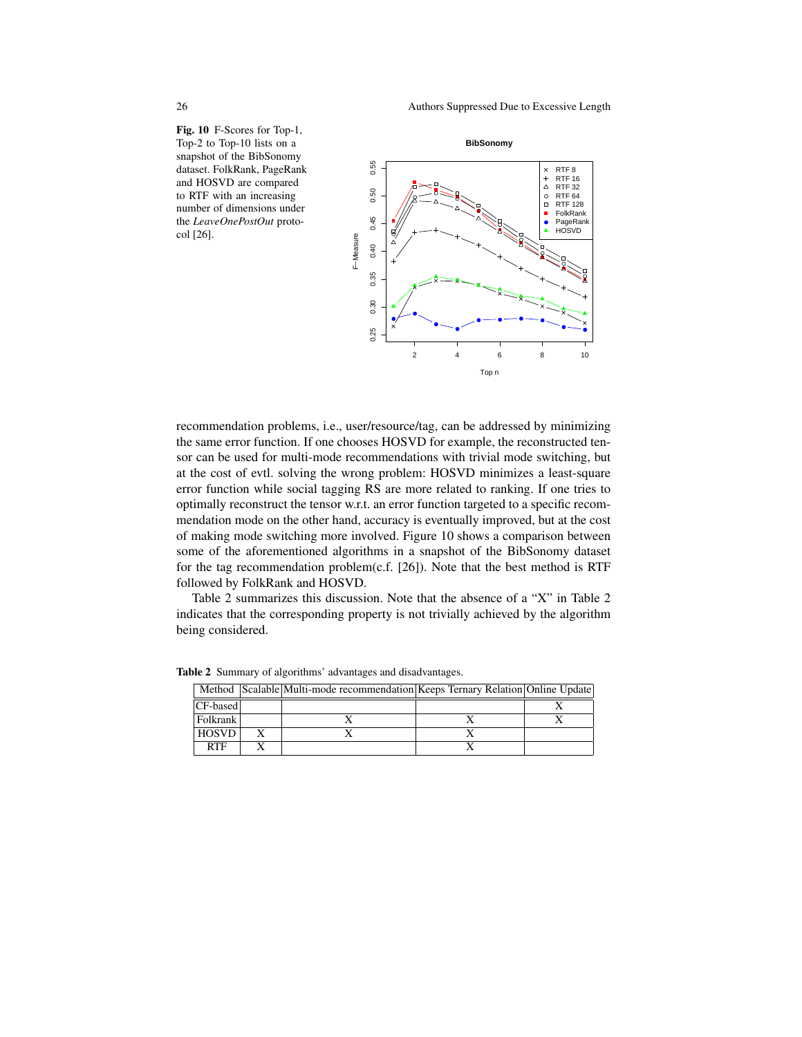Fig. 10 F-Scores for Top-1, Top-2 to Top-10 lists on a snapshot of the BibSonomy dataset. FolkRank, PageRank and HOSVD are compared to RTF with an increasing number of dimensions under the *LeaveOnePostOut* protocol [26].



recommendation problems, i.e., user/resource/tag, can be addressed by minimizing the same error function. If one chooses HOSVD for example, the reconstructed tensor can be used for multi-mode recommendations with trivial mode switching, but at the cost of evtl. solving the wrong problem: HOSVD minimizes a least-square error function while social tagging RS are more related to ranking. If one tries to optimally reconstruct the tensor w.r.t. an error function targeted to a specific recommendation mode on the other hand, accuracy is eventually improved, but at the cost of making mode switching more involved. Figure 10 shows a comparison between some of the aforementioned algorithms in a snapshot of the BibSonomy dataset for the tag recommendation problem(c.f. [26]). Note that the best method is RTF followed by FolkRank and HOSVD.

Table 2 summarizes this discussion. Note that the absence of a "X" in Table 2 indicates that the corresponding property is not trivially achieved by the algorithm being considered.

|              | Method Scalable Multi-mode recommendation Keeps Ternary Relation Online Update |  |
|--------------|--------------------------------------------------------------------------------|--|
| CF-based     |                                                                                |  |
| Folkrank     |                                                                                |  |
| <b>HOSVD</b> |                                                                                |  |
| <b>RTF</b>   |                                                                                |  |

Table 2 Summary of algorithms' advantages and disadvantages.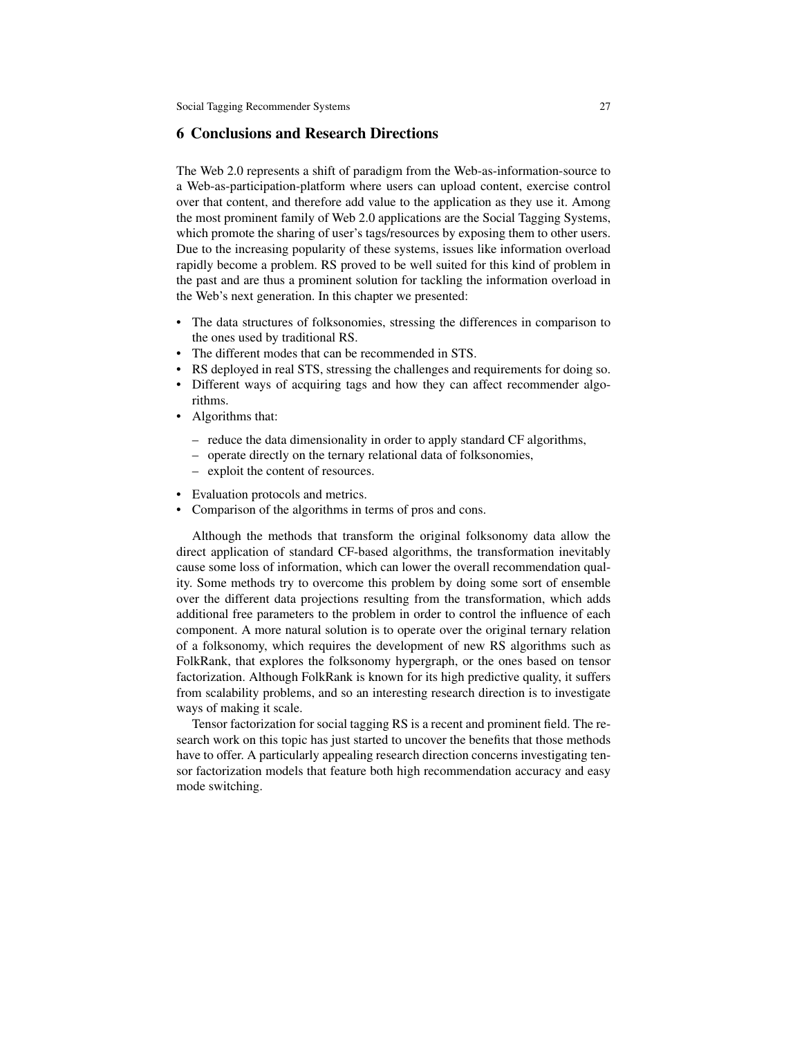#### 6 Conclusions and Research Directions

The Web 2.0 represents a shift of paradigm from the Web-as-information-source to a Web-as-participation-platform where users can upload content, exercise control over that content, and therefore add value to the application as they use it. Among the most prominent family of Web 2.0 applications are the Social Tagging Systems, which promote the sharing of user's tags/resources by exposing them to other users. Due to the increasing popularity of these systems, issues like information overload rapidly become a problem. RS proved to be well suited for this kind of problem in the past and are thus a prominent solution for tackling the information overload in the Web's next generation. In this chapter we presented:

- The data structures of folksonomies, stressing the differences in comparison to the ones used by traditional RS.
- The different modes that can be recommended in STS.
- RS deployed in real STS, stressing the challenges and requirements for doing so.
- Different ways of acquiring tags and how they can affect recommender algorithms.
- Algorithms that:
	- reduce the data dimensionality in order to apply standard CF algorithms,
	- operate directly on the ternary relational data of folksonomies,
	- exploit the content of resources.
- Evaluation protocols and metrics.
- Comparison of the algorithms in terms of pros and cons.

Although the methods that transform the original folksonomy data allow the direct application of standard CF-based algorithms, the transformation inevitably cause some loss of information, which can lower the overall recommendation quality. Some methods try to overcome this problem by doing some sort of ensemble over the different data projections resulting from the transformation, which adds additional free parameters to the problem in order to control the influence of each component. A more natural solution is to operate over the original ternary relation of a folksonomy, which requires the development of new RS algorithms such as FolkRank, that explores the folksonomy hypergraph, or the ones based on tensor factorization. Although FolkRank is known for its high predictive quality, it suffers from scalability problems, and so an interesting research direction is to investigate ways of making it scale.

Tensor factorization for social tagging RS is a recent and prominent field. The research work on this topic has just started to uncover the benefits that those methods have to offer. A particularly appealing research direction concerns investigating tensor factorization models that feature both high recommendation accuracy and easy mode switching.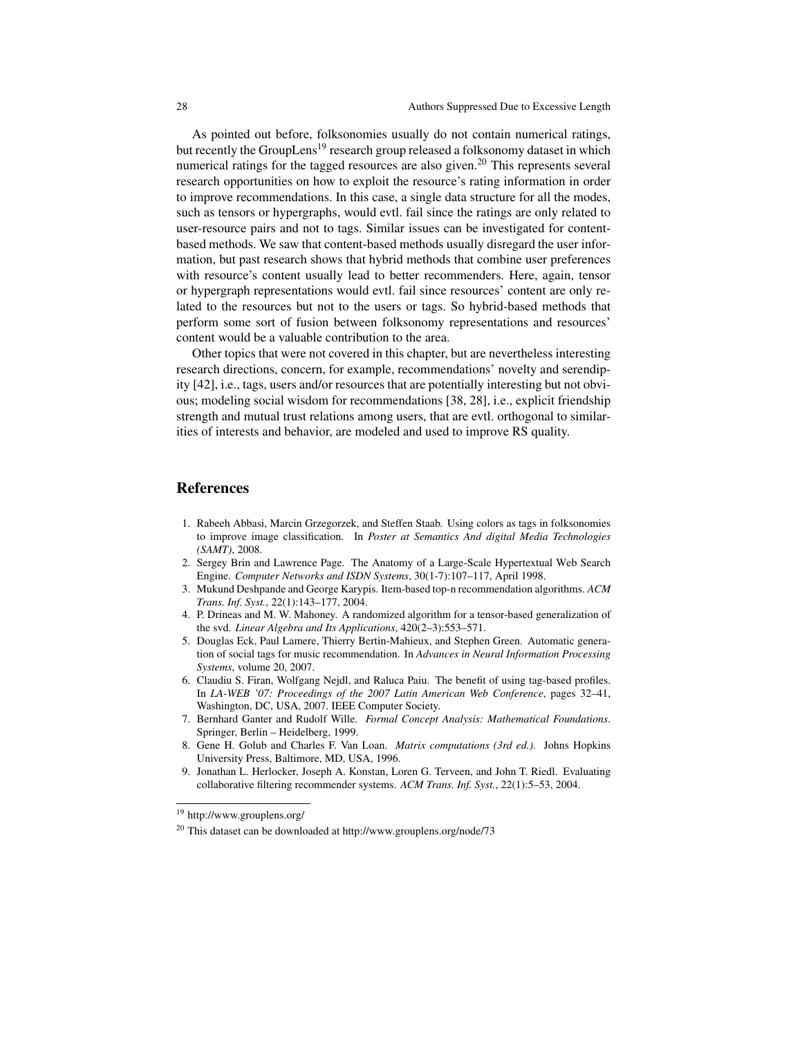As pointed out before, folksonomies usually do not contain numerical ratings, but recently the GroupLens<sup>19</sup> research group released a folksonomy dataset in which numerical ratings for the tagged resources are also given.<sup>20</sup> This represents several research opportunities on how to exploit the resource's rating information in order to improve recommendations. In this case, a single data structure for all the modes, such as tensors or hypergraphs, would evtl. fail since the ratings are only related to user-resource pairs and not to tags. Similar issues can be investigated for contentbased methods. We saw that content-based methods usually disregard the user information, but past research shows that hybrid methods that combine user preferences with resource's content usually lead to better recommenders. Here, again, tensor or hypergraph representations would evtl. fail since resources' content are only related to the resources but not to the users or tags. So hybrid-based methods that perform some sort of fusion between folksonomy representations and resources' content would be a valuable contribution to the area.

Other topics that were not covered in this chapter, but are nevertheless interesting research directions, concern, for example, recommendations' novelty and serendipity [42], i.e., tags, users and/or resources that are potentially interesting but not obvious; modeling social wisdom for recommendations [38, 28], i.e., explicit friendship strength and mutual trust relations among users, that are evtl. orthogonal to similarities of interests and behavior, are modeled and used to improve RS quality.

#### **References**

- 1. Rabeeh Abbasi, Marcin Grzegorzek, and Steffen Staab. Using colors as tags in folksonomies to improve image classification. In *Poster at Semantics And digital Media Technologies (SAMT)*, 2008.
- 2. Sergey Brin and Lawrence Page. The Anatomy of a Large-Scale Hypertextual Web Search Engine. *Computer Networks and ISDN Systems*, 30(1-7):107–117, April 1998.
- 3. Mukund Deshpande and George Karypis. Item-based top-n recommendation algorithms. *ACM Trans. Inf. Syst.*, 22(1):143–177, 2004.
- 4. P. Drineas and M. W. Mahoney. A randomized algorithm for a tensor-based generalization of the svd. *Linear Algebra and Its Applications*, 420(2–3):553–571.
- 5. Douglas Eck, Paul Lamere, Thierry Bertin-Mahieux, and Stephen Green. Automatic generation of social tags for music recommendation. In *Advances in Neural Information Processing Systems*, volume 20, 2007.
- 6. Claudiu S. Firan, Wolfgang Nejdl, and Raluca Paiu. The benefit of using tag-based profiles. In *LA-WEB '07: Proceedings of the 2007 Latin American Web Conference*, pages 32–41, Washington, DC, USA, 2007. IEEE Computer Society.
- 7. Bernhard Ganter and Rudolf Wille. *Formal Concept Analysis: Mathematical Foundations*. Springer, Berlin – Heidelberg, 1999.
- 8. Gene H. Golub and Charles F. Van Loan. *Matrix computations (3rd ed.)*. Johns Hopkins University Press, Baltimore, MD, USA, 1996.
- 9. Jonathan L. Herlocker, Joseph A. Konstan, Loren G. Terveen, and John T. Riedl. Evaluating collaborative filtering recommender systems. *ACM Trans. Inf. Syst.*, 22(1):5–53, 2004.

<sup>19</sup> http://www.grouplens.org/

<sup>20</sup> This dataset can be downloaded at http://www.grouplens.org/node/73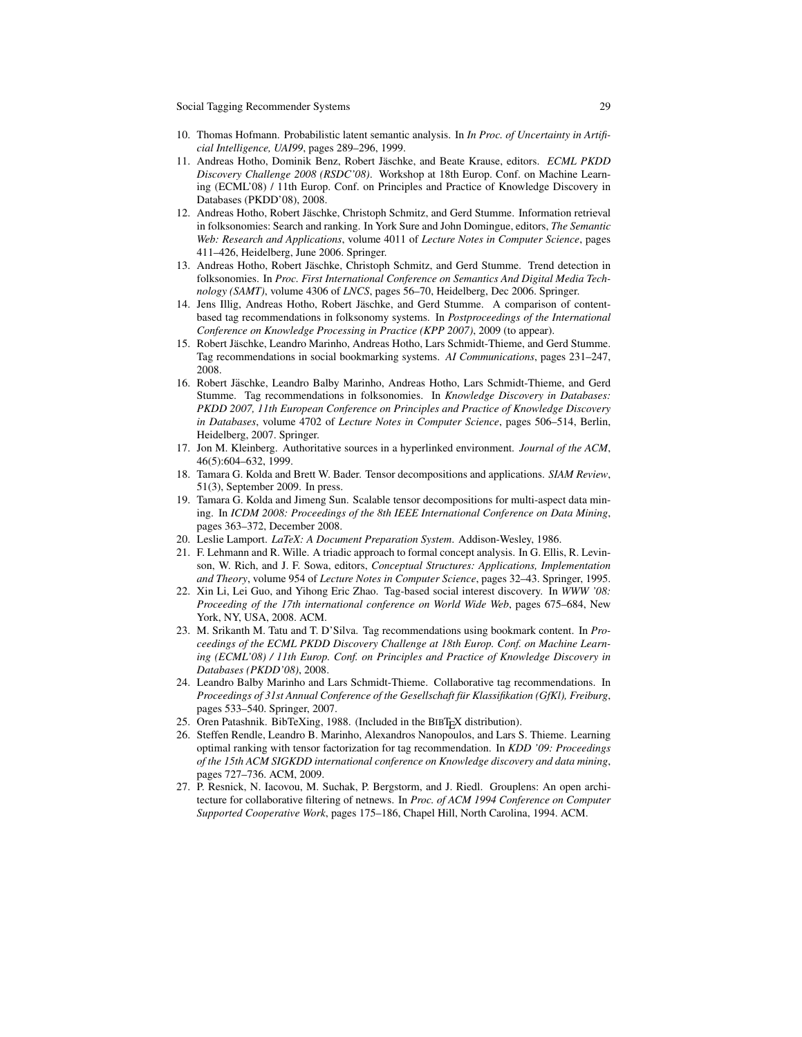- 10. Thomas Hofmann. Probabilistic latent semantic analysis. In *In Proc. of Uncertainty in Artificial Intelligence, UAI99*, pages 289–296, 1999.
- 11. Andreas Hotho, Dominik Benz, Robert Jaschke, and Beate Krause, editors. ¨ *ECML PKDD Discovery Challenge 2008 (RSDC'08)*. Workshop at 18th Europ. Conf. on Machine Learning (ECML'08) / 11th Europ. Conf. on Principles and Practice of Knowledge Discovery in Databases (PKDD'08), 2008.
- 12. Andreas Hotho, Robert Jäschke, Christoph Schmitz, and Gerd Stumme. Information retrieval in folksonomies: Search and ranking. In York Sure and John Domingue, editors, *The Semantic Web: Research and Applications*, volume 4011 of *Lecture Notes in Computer Science*, pages 411–426, Heidelberg, June 2006. Springer.
- 13. Andreas Hotho, Robert Jäschke, Christoph Schmitz, and Gerd Stumme. Trend detection in folksonomies. In *Proc. First International Conference on Semantics And Digital Media Technology (SAMT)*, volume 4306 of *LNCS*, pages 56–70, Heidelberg, Dec 2006. Springer.
- 14. Jens Illig, Andreas Hotho, Robert Jäschke, and Gerd Stumme. A comparison of contentbased tag recommendations in folksonomy systems. In *Postproceedings of the International Conference on Knowledge Processing in Practice (KPP 2007)*, 2009 (to appear).
- 15. Robert Jaschke, Leandro Marinho, Andreas Hotho, Lars Schmidt-Thieme, and Gerd Stumme. ¨ Tag recommendations in social bookmarking systems. *AI Communications*, pages 231–247, 2008.
- 16. Robert Jaschke, Leandro Balby Marinho, Andreas Hotho, Lars Schmidt-Thieme, and Gerd ¨ Stumme. Tag recommendations in folksonomies. In *Knowledge Discovery in Databases: PKDD 2007, 11th European Conference on Principles and Practice of Knowledge Discovery in Databases*, volume 4702 of *Lecture Notes in Computer Science*, pages 506–514, Berlin, Heidelberg, 2007. Springer.
- 17. Jon M. Kleinberg. Authoritative sources in a hyperlinked environment. *Journal of the ACM*, 46(5):604–632, 1999.
- 18. Tamara G. Kolda and Brett W. Bader. Tensor decompositions and applications. *SIAM Review*, 51(3), September 2009. In press.
- 19. Tamara G. Kolda and Jimeng Sun. Scalable tensor decompositions for multi-aspect data mining. In *ICDM 2008: Proceedings of the 8th IEEE International Conference on Data Mining*, pages 363–372, December 2008.
- 20. Leslie Lamport. *LaTeX: A Document Preparation System*. Addison-Wesley, 1986.
- 21. F. Lehmann and R. Wille. A triadic approach to formal concept analysis. In G. Ellis, R. Levinson, W. Rich, and J. F. Sowa, editors, *Conceptual Structures: Applications, Implementation and Theory*, volume 954 of *Lecture Notes in Computer Science*, pages 32–43. Springer, 1995.
- 22. Xin Li, Lei Guo, and Yihong Eric Zhao. Tag-based social interest discovery. In *WWW '08: Proceeding of the 17th international conference on World Wide Web*, pages 675–684, New York, NY, USA, 2008. ACM.
- 23. M. Srikanth M. Tatu and T. D'Silva. Tag recommendations using bookmark content. In *Proceedings of the ECML PKDD Discovery Challenge at 18th Europ. Conf. on Machine Learning (ECML'08) / 11th Europ. Conf. on Principles and Practice of Knowledge Discovery in Databases (PKDD'08)*, 2008.
- 24. Leandro Balby Marinho and Lars Schmidt-Thieme. Collaborative tag recommendations. In *Proceedings of 31st Annual Conference of the Gesellschaft fur Klassifikation (GfKl), Freiburg ¨* , pages 533–540. Springer, 2007.
- 25. Oren Patashnik. BibTeXing, 1988. (Included in the BIBT<sub>E</sub>X distribution).
- 26. Steffen Rendle, Leandro B. Marinho, Alexandros Nanopoulos, and Lars S. Thieme. Learning optimal ranking with tensor factorization for tag recommendation. In *KDD '09: Proceedings of the 15th ACM SIGKDD international conference on Knowledge discovery and data mining*, pages 727–736. ACM, 2009.
- 27. P. Resnick, N. Iacovou, M. Suchak, P. Bergstorm, and J. Riedl. Grouplens: An open architecture for collaborative filtering of netnews. In *Proc. of ACM 1994 Conference on Computer Supported Cooperative Work*, pages 175–186, Chapel Hill, North Carolina, 1994. ACM.